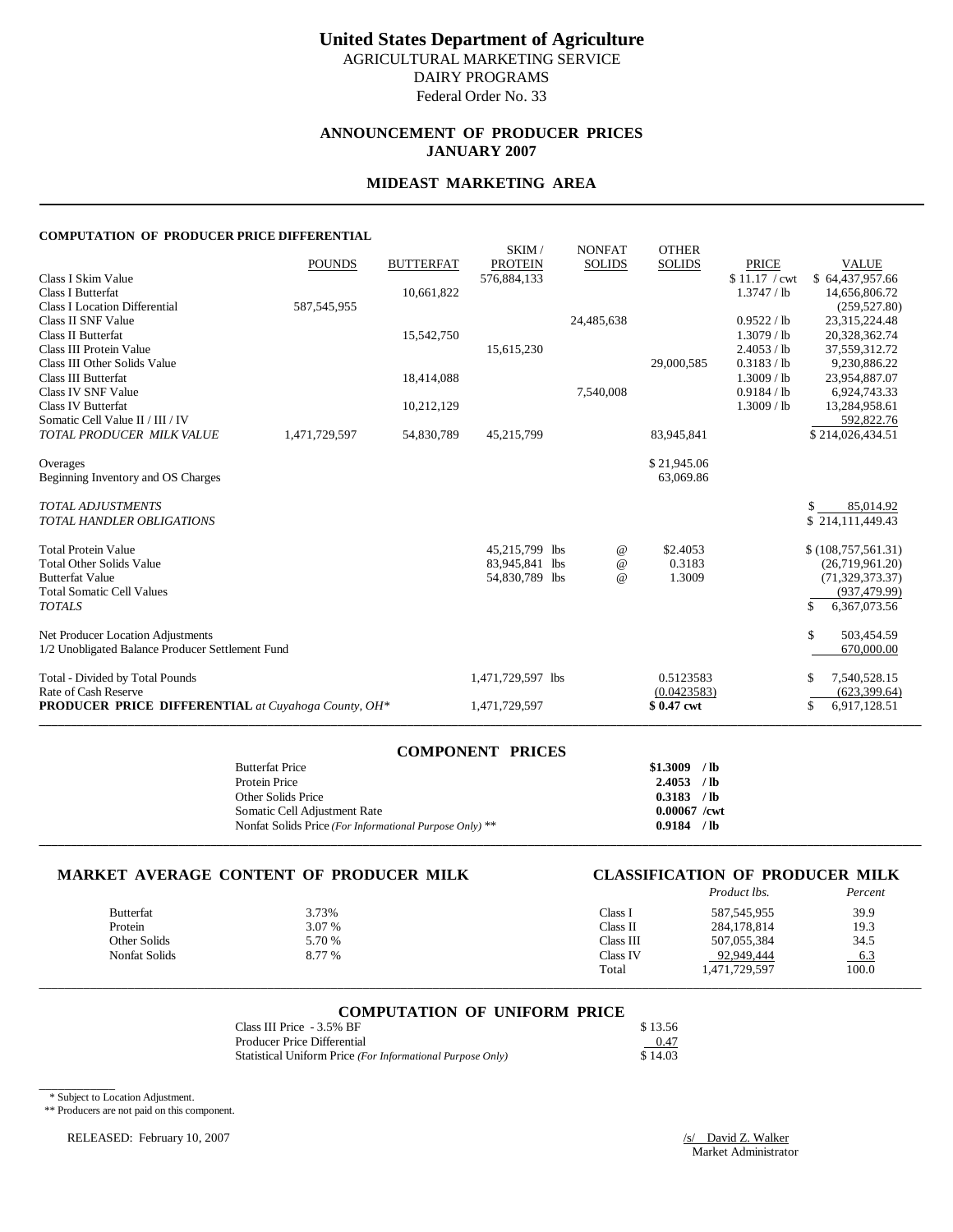# **ANNOUNCEMENT OF PRODUCER PRICES JANUARY 2007**

# **MIDEAST MARKETING AREA**

#### **COMPUTATION OF PRODUCER PRICE DIFFERENTIAL**

|                                                            |               |                  | SKIM/             | <b>NONFAT</b> | <b>OTHER</b>  |               |                     |
|------------------------------------------------------------|---------------|------------------|-------------------|---------------|---------------|---------------|---------------------|
|                                                            | <b>POUNDS</b> | <b>BUTTERFAT</b> | <b>PROTEIN</b>    | <b>SOLIDS</b> | <b>SOLIDS</b> | <b>PRICE</b>  | <b>VALUE</b>        |
| Class I Skim Value                                         |               |                  | 576,884,133       |               |               | \$11.17 / cwt | \$64,437,957.66     |
| <b>Class I Butterfat</b>                                   |               | 10,661,822       |                   |               |               | 1.3747 / lb   | 14,656,806.72       |
| <b>Class I Location Differential</b>                       | 587, 545, 955 |                  |                   |               |               |               | (259, 527.80)       |
| Class II SNF Value                                         |               |                  |                   | 24,485,638    |               | 0.9522 / lb   | 23,315,224.48       |
| Class II Butterfat                                         |               | 15,542,750       |                   |               |               | 1.3079 / lb   | 20,328,362.74       |
| Class III Protein Value                                    |               |                  | 15,615,230        |               |               | 2.4053 / lb   | 37,559,312.72       |
| Class III Other Solids Value                               |               |                  |                   |               | 29,000,585    | 0.3183 / lb   | 9,230,886.22        |
| Class III Butterfat                                        |               | 18,414,088       |                   |               |               | $1.3009$ / lb | 23,954,887.07       |
| Class IV SNF Value                                         |               |                  |                   | 7,540,008     |               | 0.9184 / lb   | 6,924,743.33        |
| <b>Class IV Butterfat</b>                                  |               | 10,212,129       |                   |               |               | 1.3009 / lb   | 13,284,958.61       |
| Somatic Cell Value II / III / IV                           |               |                  |                   |               |               |               | 592,822.76          |
| TOTAL PRODUCER MILK VALUE                                  | 1,471,729,597 | 54,830,789       | 45,215,799        |               | 83,945,841    |               | \$214,026,434.51    |
| Overages                                                   |               |                  |                   |               | \$21,945.06   |               |                     |
| Beginning Inventory and OS Charges                         |               |                  |                   |               | 63,069.86     |               |                     |
| <b>TOTAL ADJUSTMENTS</b>                                   |               |                  |                   |               |               |               | \$.<br>85,014.92    |
| <b>TOTAL HANDLER OBLIGATIONS</b>                           |               |                  |                   |               |               |               | \$214,111,449.43    |
| <b>Total Protein Value</b>                                 |               |                  | 45,215,799 lbs    | @             | \$2.4053      |               | \$(108,757,561.31)  |
| <b>Total Other Solids Value</b>                            |               |                  | 83,945,841 lbs    | $\omega$      | 0.3183        |               | (26,719,961.20)     |
| <b>Butterfat Value</b>                                     |               |                  | 54,830,789 lbs    | $\omega$      | 1.3009        |               | (71, 329, 373, 37)  |
| <b>Total Somatic Cell Values</b>                           |               |                  |                   |               |               |               | (937, 479.99)       |
| <b>TOTALS</b>                                              |               |                  |                   |               |               |               | \$.<br>6,367,073.56 |
| Net Producer Location Adjustments                          |               |                  |                   |               |               |               | \$<br>503,454.59    |
| 1/2 Unobligated Balance Producer Settlement Fund           |               |                  |                   |               |               |               | 670,000.00          |
| Total - Divided by Total Pounds                            |               |                  | 1,471,729,597 lbs |               | 0.5123583     |               | 7,540,528.15<br>S   |
| Rate of Cash Reserve                                       |               |                  |                   |               | (0.0423583)   |               | (623, 399.64)       |
| <b>PRODUCER PRICE DIFFERENTIAL</b> at Cuyahoga County, OH* |               |                  | 1,471,729,597     |               | \$0.47 cwt    |               | \$<br>6,917,128.51  |
|                                                            |               |                  |                   |               |               |               |                     |

| <b>COMPONENT PRICES</b>                                 |                |
|---------------------------------------------------------|----------------|
| <b>Butterfat Price</b>                                  | $$1,3009$ /lb  |
| Protein Price                                           | $2.4053$ /lb   |
| Other Solids Price                                      | 0.3183 / lb    |
| Somatic Cell Adjustment Rate                            | $0.00067$ /cwt |
| Nonfat Solids Price (For Informational Purpose Only) ** | $0.9184$ /lb   |
|                                                         |                |

# **MARKET AVERAGE CONTENT OF PRODUCER MILK CLASSIFICATION OF PRODUCER MILK**

# *Product lbs. Percent*

| Butterfat     | 3.73%  | Class l   | 587, 545, 955 | 39.9   |
|---------------|--------|-----------|---------------|--------|
| Protein       | 3.07 % | Class II  | 284.178.814   | 19.3   |
| Other Solids  | 5.70 % | Class III | 507,055,384   | 34.5   |
| Nonfat Solids | 8.77 % | Class IV  | 92,949,444    | $-6.3$ |
|               |        | Total     | 1,471,729,597 | 100.0  |

# \_\_\_\_\_\_\_\_\_\_\_\_\_\_\_\_\_\_\_\_\_\_\_\_\_\_\_\_\_\_\_\_\_\_\_\_\_\_\_\_\_\_\_\_\_\_\_\_\_\_\_\_\_\_\_\_\_\_\_\_\_\_\_\_\_\_\_\_\_\_\_\_\_\_\_\_\_\_\_\_\_\_\_\_\_\_\_\_\_\_\_\_\_\_\_\_\_\_\_\_\_\_\_\_\_\_\_\_\_\_\_\_\_\_\_\_\_\_\_\_\_\_\_\_\_\_\_\_\_\_\_\_\_\_\_\_\_\_\_ **COMPUTATION OF UNIFORM PRICE**

| Class III Price - 3.5% BF                                  | \$13.56 |
|------------------------------------------------------------|---------|
| Producer Price Differential                                | 0.47    |
| Statistical Uniform Price (For Informational Purpose Only) | \$14.03 |

\* Subject to Location Adjustment.

\_\_\_\_\_\_\_\_\_\_\_\_

\*\* Producers are not paid on this component.

RELEASED: February 10, 2007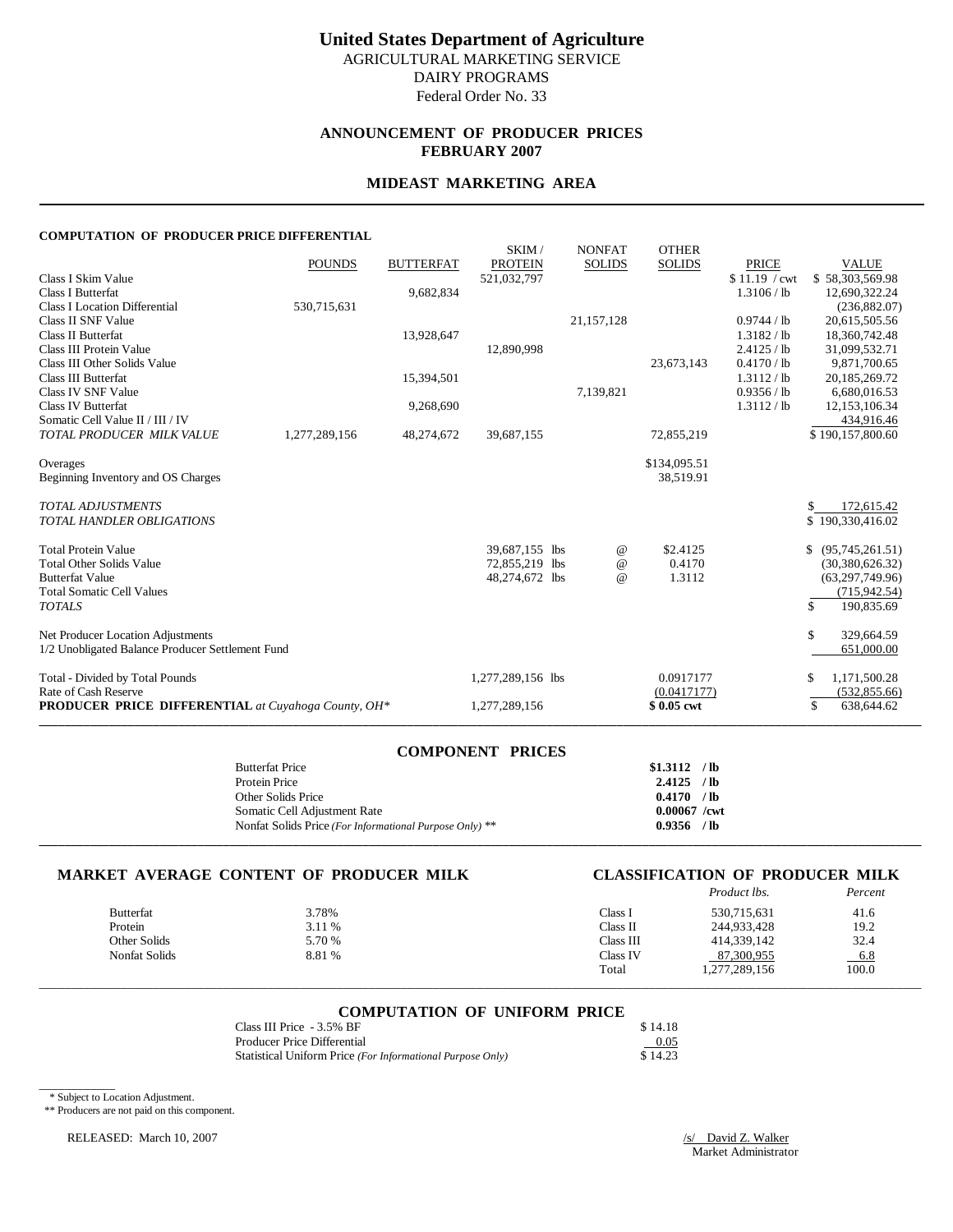# **ANNOUNCEMENT OF PRODUCER PRICES FEBRUARY 2007**

# **MIDEAST MARKETING AREA**

#### **COMPUTATION OF PRODUCER PRICE DIFFERENTIAL**

|                                                            |               |                  | SKIM/             | <b>NONFAT</b> | <b>OTHER</b>  |               |                       |
|------------------------------------------------------------|---------------|------------------|-------------------|---------------|---------------|---------------|-----------------------|
|                                                            | <b>POUNDS</b> | <b>BUTTERFAT</b> | <b>PROTEIN</b>    | <b>SOLIDS</b> | <b>SOLIDS</b> | <b>PRICE</b>  | <b>VALUE</b>          |
| Class I Skim Value                                         |               |                  | 521,032,797       |               |               | \$11.19 / cwt | \$58,303,569.98       |
| <b>Class I Butterfat</b>                                   |               | 9,682,834        |                   |               |               | 1.3106 / lb   | 12,690,322.24         |
| <b>Class I Location Differential</b>                       | 530,715,631   |                  |                   |               |               |               | (236,882.07)          |
| Class II SNF Value                                         |               |                  |                   | 21,157,128    |               | 0.9744 / lb   | 20,615,505.56         |
| Class II Butterfat                                         |               | 13,928,647       |                   |               |               | 1.3182 / lb   | 18,360,742.48         |
| Class III Protein Value                                    |               |                  | 12,890,998        |               |               | 2.4125 / lb   | 31,099,532.71         |
| Class III Other Solids Value                               |               |                  |                   |               | 23,673,143    | 0.4170 / lb   | 9,871,700.65          |
| Class III Butterfat                                        |               | 15,394,501       |                   |               |               | 1.3112 / lb   | 20,185,269.72         |
| Class IV SNF Value                                         |               |                  |                   | 7,139,821     |               | 0.9356 / lb   | 6,680,016.53          |
| <b>Class IV Butterfat</b>                                  |               | 9,268,690        |                   |               |               | 1.3112 / lb   | 12,153,106.34         |
| Somatic Cell Value II / III / IV                           |               |                  |                   |               |               |               | 434,916.46            |
| TOTAL PRODUCER MILK VALUE                                  | 1,277,289,156 | 48,274,672       | 39,687,155        |               | 72,855,219    |               | \$190,157,800.60      |
| Overages                                                   |               |                  |                   |               | \$134,095.51  |               |                       |
| Beginning Inventory and OS Charges                         |               |                  |                   |               | 38,519.91     |               |                       |
|                                                            |               |                  |                   |               |               |               |                       |
| <b>TOTAL ADJUSTMENTS</b>                                   |               |                  |                   |               |               |               | \$<br>172,615.42      |
| <b>TOTAL HANDLER OBLIGATIONS</b>                           |               |                  |                   |               |               |               | \$190,330,416.02      |
| <b>Total Protein Value</b>                                 |               |                  | 39,687,155 lbs    | @             | \$2.4125      |               | \$<br>(95,745,261.51) |
| <b>Total Other Solids Value</b>                            |               |                  | 72,855,219 lbs    | $\omega$      | 0.4170        |               | (30, 380, 626.32)     |
| <b>Butterfat Value</b>                                     |               |                  | 48,274,672 lbs    | $\omega$      | 1.3112        |               | (63, 297, 749.96)     |
| <b>Total Somatic Cell Values</b>                           |               |                  |                   |               |               |               | (715, 942.54)         |
| <b>TOTALS</b>                                              |               |                  |                   |               |               |               | \$<br>190,835.69      |
| Net Producer Location Adjustments                          |               |                  |                   |               |               |               | \$<br>329,664.59      |
| 1/2 Unobligated Balance Producer Settlement Fund           |               |                  |                   |               |               |               | 651,000.00            |
|                                                            |               |                  |                   |               |               |               |                       |
| Total - Divided by Total Pounds                            |               |                  | 1,277,289,156 lbs |               | 0.0917177     |               | 1,171,500.28<br>S     |
| Rate of Cash Reserve                                       |               |                  |                   |               | (0.0417177)   |               | (532, 855.66)         |
| <b>PRODUCER PRICE DIFFERENTIAL</b> at Cuyahoga County, OH* |               |                  | 1,277,289,156     |               | \$0.05 cwt    |               | 638,644.62<br>\$      |
|                                                            |               |                  |                   |               |               |               |                       |

| <b>COMPONENT PRICES</b>                                 |                |
|---------------------------------------------------------|----------------|
| <b>Butterfat Price</b>                                  | $$1.3112$ /lb  |
| Protein Price                                           | $2.4125$ /lb   |
| Other Solids Price                                      | $0.4170$ /lb   |
| Somatic Cell Adjustment Rate                            | $0.00067$ /cwt |
| Nonfat Solids Price (For Informational Purpose Only) ** | $0.9356$ /lb   |
|                                                         |                |

#### **MARKET AVERAGE CONTENT OF PRODUCER MILK CLASSIFICATION OF PRODUCER MILK**

# *Product lbs. Percent*

| <b>Butterfat</b> | 3.78%  | Class l   | 530,715,631   | 41.6  |
|------------------|--------|-----------|---------------|-------|
| Protein          | 3.11 % | Class II  | 244,933,428   | 19.2  |
| Other Solids     | 5.70 % | Class III | 414,339,142   | 32.4  |
| Nonfat Solids    | 8.81 % | Class IV  | 87.300.955    | 6.8   |
|                  |        | Total     | 1,277,289,156 | 100.0 |

# \_\_\_\_\_\_\_\_\_\_\_\_\_\_\_\_\_\_\_\_\_\_\_\_\_\_\_\_\_\_\_\_\_\_\_\_\_\_\_\_\_\_\_\_\_\_\_\_\_\_\_\_\_\_\_\_\_\_\_\_\_\_\_\_\_\_\_\_\_\_\_\_\_\_\_\_\_\_\_\_\_\_\_\_\_\_\_\_\_\_\_\_\_\_\_\_\_\_\_\_\_\_\_\_\_\_\_\_\_\_\_\_\_\_\_\_\_\_\_\_\_\_\_\_\_\_\_\_\_\_\_\_\_\_\_\_\_\_\_ **COMPUTATION OF UNIFORM PRICE**

| Class III Price - 3.5% BF                                  | \$14.18 |
|------------------------------------------------------------|---------|
| Producer Price Differential                                | 0.05    |
| Statistical Uniform Price (For Informational Purpose Only) | \$14.23 |

\* Subject to Location Adjustment.

\_\_\_\_\_\_\_\_\_\_\_\_

\*\* Producers are not paid on this component.

RELEASED: March 10, 2007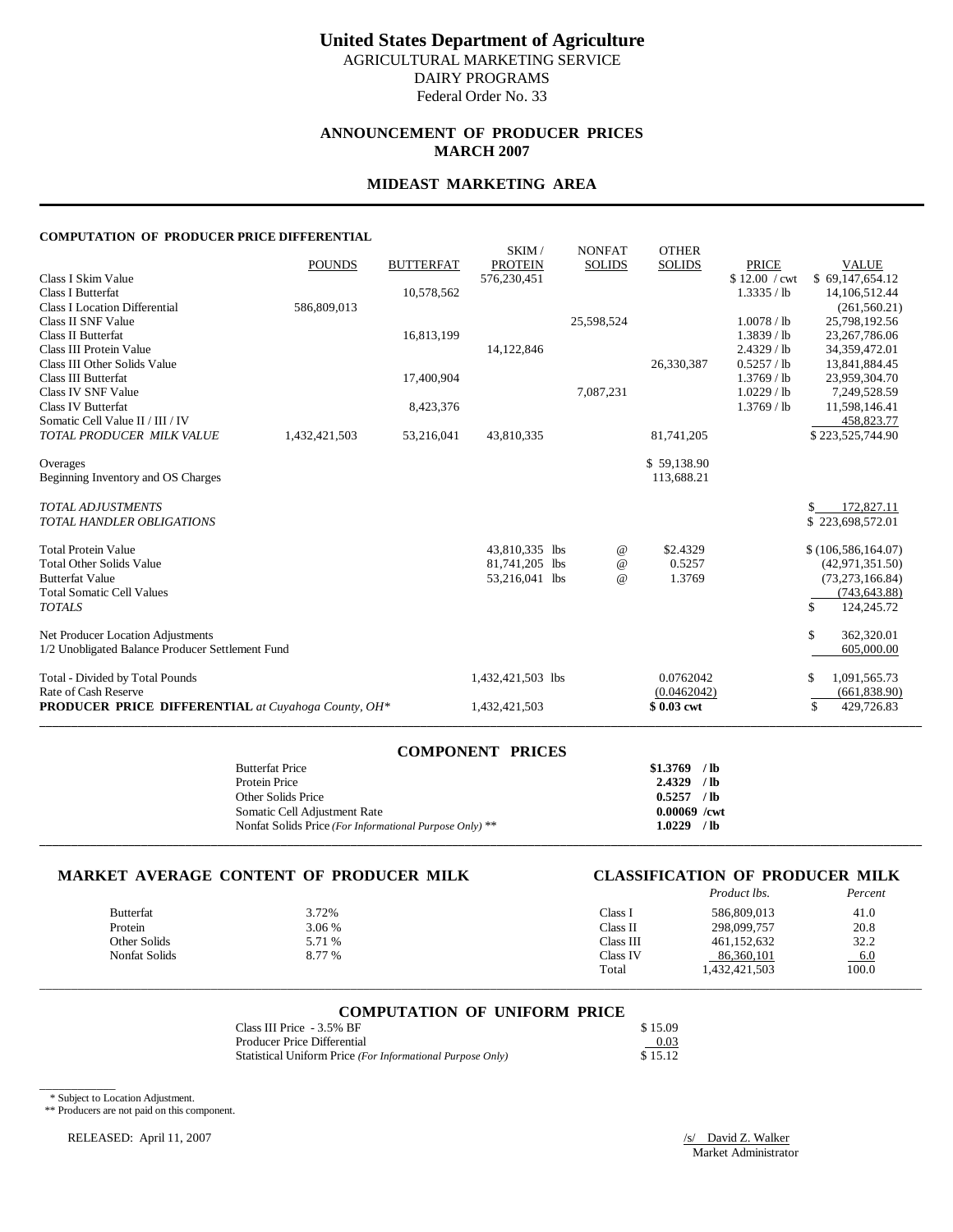# **United States Department of Agriculture**

AGRICULTURAL MARKETING SERVICE DAIRY PROGRAMS

Federal Order No. 33

### **ANNOUNCEMENT OF PRODUCER PRICES MARCH 2007**

#### **MIDEAST MARKETING AREA**

#### **COMPUTATION OF PRODUCER PRICE DIFFERENTIAL**

| COMI OTATION OF TRODUCERTRICE DIFFERENTIAL                 |               |                  |                         |                                |                               |               |                             |
|------------------------------------------------------------|---------------|------------------|-------------------------|--------------------------------|-------------------------------|---------------|-----------------------------|
|                                                            | <b>POUNDS</b> | <b>BUTTERFAT</b> | SKIM/<br><b>PROTEIN</b> | <b>NONFAT</b><br><b>SOLIDS</b> | <b>OTHER</b><br><b>SOLIDS</b> | <b>PRICE</b>  | <b>VALUE</b>                |
| Class I Skim Value                                         |               |                  | 576,230,451             |                                |                               | \$12.00 / cwt | \$69,147,654.12             |
| <b>Class I Butterfat</b>                                   |               | 10,578,562       |                         |                                |                               | 1.3335 / lb   | 14, 106, 512. 44            |
| <b>Class I Location Differential</b>                       | 586,809,013   |                  |                         |                                |                               |               | (261, 560.21)               |
| Class II SNF Value                                         |               |                  |                         | 25,598,524                     |                               | 1.0078 / lb   | 25,798,192.56               |
| <b>Class II Butterfat</b>                                  |               | 16,813,199       |                         |                                |                               | 1.3839 / lb   | 23,267,786.06               |
| Class III Protein Value                                    |               |                  | 14,122,846              |                                |                               | 2.4329 / lb   | 34,359,472.01               |
| Class III Other Solids Value                               |               |                  |                         |                                | 26,330,387                    | 0.5257 / lb   | 13,841,884.45               |
| <b>Class III Butterfat</b>                                 |               | 17,400,904       |                         |                                |                               | $1.3769$ / lb | 23,959,304.70               |
| Class IV SNF Value                                         |               |                  |                         | 7,087,231                      |                               | $1.0229$ / lb | 7,249,528.59                |
| Class IV Butterfat                                         |               | 8,423,376        |                         |                                |                               | $1.3769$ / lb | 11,598,146.41               |
| Somatic Cell Value II / III / IV                           |               |                  |                         |                                |                               |               | 458,823.77                  |
| TOTAL PRODUCER MILK VALUE                                  | 1,432,421,503 | 53,216,041       | 43,810,335              |                                | 81,741,205                    |               | \$223,525,744.90            |
| Overages                                                   |               |                  |                         |                                | \$59,138.90                   |               |                             |
| Beginning Inventory and OS Charges                         |               |                  |                         |                                | 113,688.21                    |               |                             |
| <b>TOTAL ADJUSTMENTS</b>                                   |               |                  |                         |                                |                               |               | 172,827.11                  |
| <b>TOTAL HANDLER OBLIGATIONS</b>                           |               |                  |                         |                                |                               |               | \$223,698,572.01            |
| <b>Total Protein Value</b>                                 |               |                  | 43,810,335 lbs          | $^{\copyright}$                | \$2.4329                      |               | \$(106, 586, 164.07)        |
| <b>Total Other Solids Value</b>                            |               |                  | 81,741,205 lbs          | $\omega$                       | 0.5257                        |               | (42, 971, 351.50)           |
| <b>Butterfat Value</b>                                     |               |                  | 53,216,041 lbs          | $\omega$                       | 1.3769                        |               | (73, 273, 166.84)           |
| <b>Total Somatic Cell Values</b>                           |               |                  |                         |                                |                               |               | (743, 643.88)               |
| <b>TOTALS</b>                                              |               |                  |                         |                                |                               |               | \$<br>124,245.72            |
| Net Producer Location Adjustments                          |               |                  |                         |                                |                               |               | \$<br>362,320.01            |
| 1/2 Unobligated Balance Producer Settlement Fund           |               |                  |                         |                                |                               |               | 605,000.00                  |
| Total - Divided by Total Pounds                            |               |                  | 1,432,421,503 lbs       |                                | 0.0762042                     |               | 1,091,565.73<br>\$          |
| Rate of Cash Reserve                                       |               |                  |                         |                                | (0.0462042)                   |               | (661, 838.90)               |
| <b>PRODUCER PRICE DIFFERENTIAL</b> at Cuyahoga County, OH* |               |                  | 1,432,421,503           |                                | \$0.03 cwt                    |               | $\mathcal{S}$<br>429,726.83 |
|                                                            |               |                  |                         |                                |                               |               |                             |

| <b>COMPONENT PRICES</b>                                 |                |
|---------------------------------------------------------|----------------|
| <b>Butterfat Price</b>                                  | $$1.3769$ /lb  |
| Protein Price                                           | $2.4329$ /lb   |
| Other Solids Price                                      | $0.5257$ /lb   |
| Somatic Cell Adjustment Rate                            | $0.00069$ /cwt |
| Nonfat Solids Price (For Informational Purpose Only) ** | 1.0229 /lb     |
|                                                         |                |

#### **MARKET AVERAGE CONTENT OF PRODUCER MILK CLASSIFICATION OF PRODUCER MILK**

# *Product lbs. Percent*

| 3.72%  | Class <sup>1</sup> | 586,809,013   | 41.0   |
|--------|--------------------|---------------|--------|
| 3.06 % | Class II           | 298.099.757   | 20.8   |
| 5.71 % | Class III          | 461.152.632   | 32.2   |
| 8.77 % | Class IV           | 86,360,101    | $-6.0$ |
|        | Total              | 1,432,421,503 | 100.0  |
|        |                    |               |        |

\_\_\_\_\_\_\_\_\_\_\_\_\_\_\_\_\_\_\_\_\_\_\_\_\_\_\_\_\_\_\_\_\_\_\_\_\_\_\_\_\_\_\_\_\_\_\_\_\_\_\_\_\_\_\_\_\_\_\_\_\_\_\_\_\_\_\_\_\_\_\_\_\_\_\_\_\_\_\_\_\_\_\_\_\_\_\_\_\_\_\_\_\_\_\_\_\_\_\_\_\_\_\_\_\_\_\_\_\_\_\_\_\_\_\_\_\_\_\_\_\_\_\_\_\_\_\_\_\_\_\_\_\_\_\_\_\_\_\_

# **COMPUTATION OF UNIFORM PRICE**

| Class III Price - 3.5% BF                                  | \$15.09 |
|------------------------------------------------------------|---------|
| Producer Price Differential                                | 0.03    |
| Statistical Uniform Price (For Informational Purpose Only) | \$15.12 |

\* Subject to Location Adjustment.

\_\_\_\_\_\_\_\_\_\_\_\_

\*\* Producers are not paid on this component.

RELEASED: April 11, 2007 /s/ David Z. Walker

Market Administrator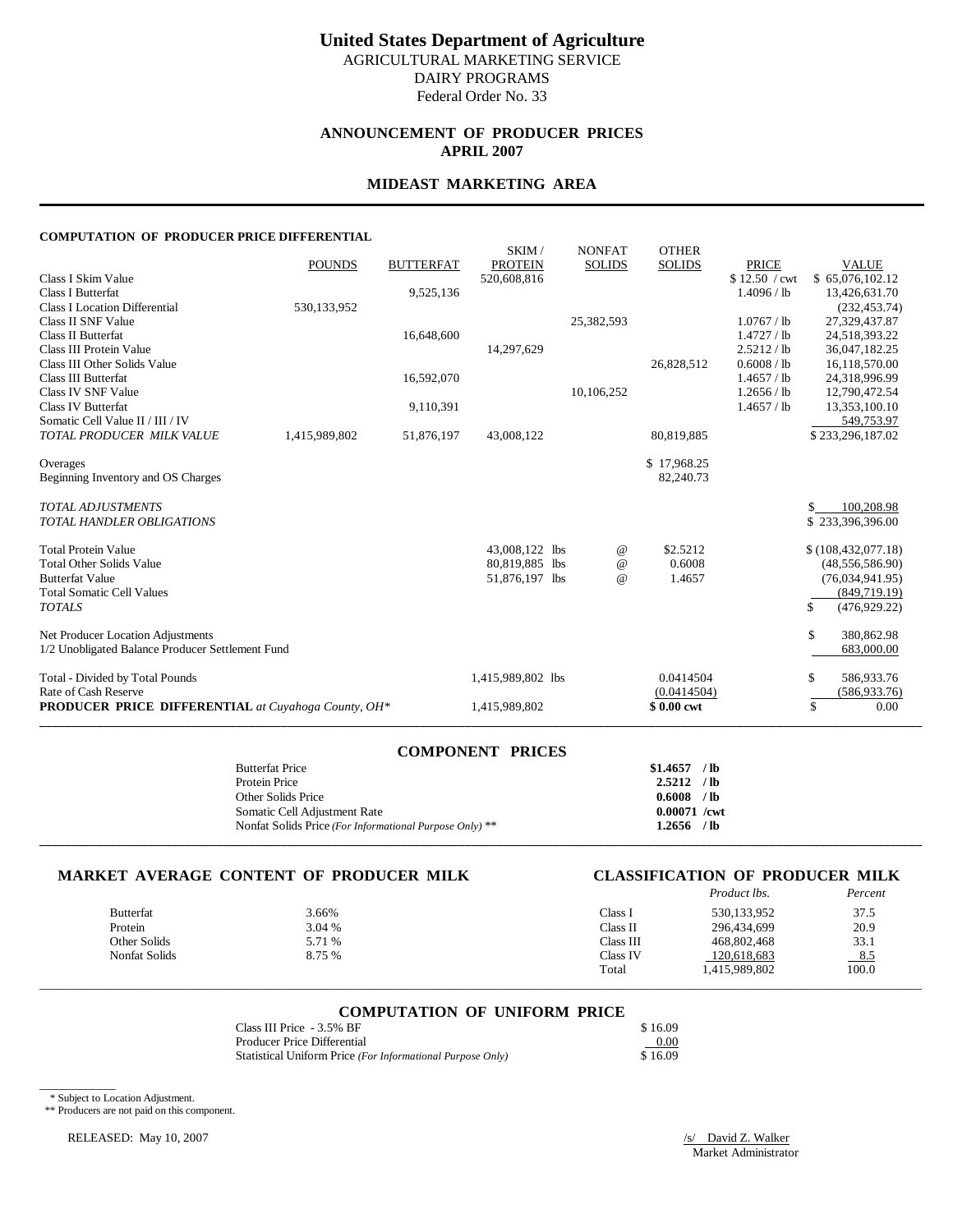# **United States Department of Agriculture**

AGRICULTURAL MARKETING SERVICE DAIRY PROGRAMS

Federal Order No. 33

### **ANNOUNCEMENT OF PRODUCER PRICES APRIL 2007**

#### **MIDEAST MARKETING AREA**

#### **COMPUTATION OF PRODUCER PRICE DIFFERENTIAL**

| COMI OTATION OF TRODUCERTRICE DIFFERENTIAL                 |               |                  |                         |                                 |                               |               |                      |
|------------------------------------------------------------|---------------|------------------|-------------------------|---------------------------------|-------------------------------|---------------|----------------------|
|                                                            | <b>POUNDS</b> | <b>BUTTERFAT</b> | SKIM/<br><b>PROTEIN</b> | <b>NONFAT</b><br><b>SOLIDS</b>  | <b>OTHER</b><br><b>SOLIDS</b> | <b>PRICE</b>  | <b>VALUE</b>         |
| Class I Skim Value                                         |               |                  | 520,608,816             |                                 |                               | \$12.50 / cwt | \$65,076,102.12      |
| <b>Class I Butterfat</b>                                   |               | 9,525,136        |                         |                                 |                               | 1.4096 / lb   | 13,426,631.70        |
| <b>Class I Location Differential</b>                       | 530,133,952   |                  |                         |                                 |                               |               | (232, 453.74)        |
| Class II SNF Value                                         |               |                  |                         | 25,382,593                      |                               | 1.0767 / lb   | 27,329,437.87        |
| <b>Class II Butterfat</b>                                  |               | 16,648,600       |                         |                                 |                               | 1.4727 / lb   | 24,518,393.22        |
| Class III Protein Value                                    |               |                  | 14,297,629              |                                 |                               | 2.5212 / lb   | 36,047,182.25        |
| Class III Other Solids Value                               |               |                  |                         |                                 | 26,828,512                    | 0.6008 / lb   | 16,118,570.00        |
| <b>Class III Butterfat</b>                                 |               | 16,592,070       |                         |                                 |                               | 1.4657 / lb   | 24,318,996.99        |
| Class IV SNF Value                                         |               |                  |                         | 10,106,252                      |                               | 1.2656 / lb   | 12,790,472.54        |
| Class IV Butterfat                                         |               | 9,110,391        |                         |                                 |                               | 1.4657 / lb   | 13,353,100.10        |
| Somatic Cell Value II / III / IV                           |               |                  |                         |                                 |                               |               | 549,753.97           |
| TOTAL PRODUCER MILK VALUE                                  | 1,415,989,802 | 51,876,197       | 43,008,122              |                                 | 80,819,885                    |               | \$233,296,187.02     |
|                                                            |               |                  |                         |                                 |                               |               |                      |
| Overages                                                   |               |                  |                         |                                 | \$17,968.25<br>82,240.73      |               |                      |
| Beginning Inventory and OS Charges                         |               |                  |                         |                                 |                               |               |                      |
| <b>TOTAL ADJUSTMENTS</b>                                   |               |                  |                         |                                 |                               |               | \$<br>100,208.98     |
| <b>TOTAL HANDLER OBLIGATIONS</b>                           |               |                  |                         |                                 |                               |               | \$233,396,396.00     |
|                                                            |               |                  |                         |                                 |                               |               |                      |
| <b>Total Protein Value</b>                                 |               |                  | 43,008,122 lbs          | $^{\,a}$                        | \$2.5212                      |               | \$(108, 432, 077.18) |
| <b>Total Other Solids Value</b>                            |               |                  | 80,819,885 lbs          | $^{\scriptsize\textregistered}$ | 0.6008                        |               | (48,556,586.90)      |
| <b>Butterfat Value</b>                                     |               |                  | 51,876,197 lbs          | $\omega$                        | 1.4657                        |               | (76,034,941.95)      |
| <b>Total Somatic Cell Values</b>                           |               |                  |                         |                                 |                               |               | (849,719.19)         |
| <b>TOTALS</b>                                              |               |                  |                         |                                 |                               |               | \$<br>(476,929.22)   |
| Net Producer Location Adjustments                          |               |                  |                         |                                 |                               |               | \$<br>380,862.98     |
| 1/2 Unobligated Balance Producer Settlement Fund           |               |                  |                         |                                 |                               |               | 683,000.00           |
|                                                            |               |                  |                         |                                 |                               |               |                      |
| Total - Divided by Total Pounds                            |               |                  | 1,415,989,802 lbs       |                                 | 0.0414504                     |               | \$<br>586,933.76     |
| Rate of Cash Reserve                                       |               |                  |                         |                                 | (0.0414504)                   |               | (586, 933.76)        |
| <b>PRODUCER PRICE DIFFERENTIAL</b> at Cuyahoga County, OH* |               |                  | 1,415,989,802           |                                 | \$0.00 cwt                    |               | \$<br>0.00           |
|                                                            |               |                  |                         |                                 |                               |               |                      |

| <b>COMPONENT PRICES</b>                                 |                |
|---------------------------------------------------------|----------------|
| <b>Butterfat Price</b>                                  | $$1.4657$ /lb  |
| Protein Price                                           | $2.5212$ /lb   |
| Other Solids Price                                      | $0.6008$ /lb   |
| Somatic Cell Adjustment Rate                            | $0.00071$ /cwt |
| Nonfat Solids Price (For Informational Purpose Only) ** | $1.2656$ /lb   |
|                                                         |                |

#### **MARKET AVERAGE CONTENT OF PRODUCER MILK CLASSIFICATION OF PRODUCER MILK**

|                  |        |           | Product lbs.  | Percent |
|------------------|--------|-----------|---------------|---------|
| <b>Butterfat</b> | 3.66%  | Class i   | 530,133,952   | 37.5    |
| Protein          | 3.04 % | Class II  | 296.434.699   | 20.9    |
| Other Solids     | 5.71 % | Class III | 468,802,468   | 33.1    |
| Nonfat Solids    | 8.75 % | Class IV  | 120.618.683   | $-8.5$  |
|                  |        | Total     | 1.415.989.802 | 100.0   |

# \_\_\_\_\_\_\_\_\_\_\_\_\_\_\_\_\_\_\_\_\_\_\_\_\_\_\_\_\_\_\_\_\_\_\_\_\_\_\_\_\_\_\_\_\_\_\_\_\_\_\_\_\_\_\_\_\_\_\_\_\_\_\_\_\_\_\_\_\_\_\_\_\_\_\_\_\_\_\_\_\_\_\_\_\_\_\_\_\_\_\_\_\_\_\_\_\_\_\_\_\_\_\_\_\_\_\_\_\_\_\_\_\_\_\_\_\_\_\_\_\_\_\_\_\_\_\_\_\_\_\_\_\_\_\_\_\_\_\_ **COMPUTATION OF UNIFORM PRICE**

| Class III Price - 3.5% BF                                  | \$16.09 |
|------------------------------------------------------------|---------|
| Producer Price Differential                                | 0.00    |
| Statistical Uniform Price (For Informational Purpose Only) | \$16.09 |

\* Subject to Location Adjustment.

\_\_\_\_\_\_\_\_\_\_\_\_

\*\* Producers are not paid on this component.

RELEASED: May 10, 2007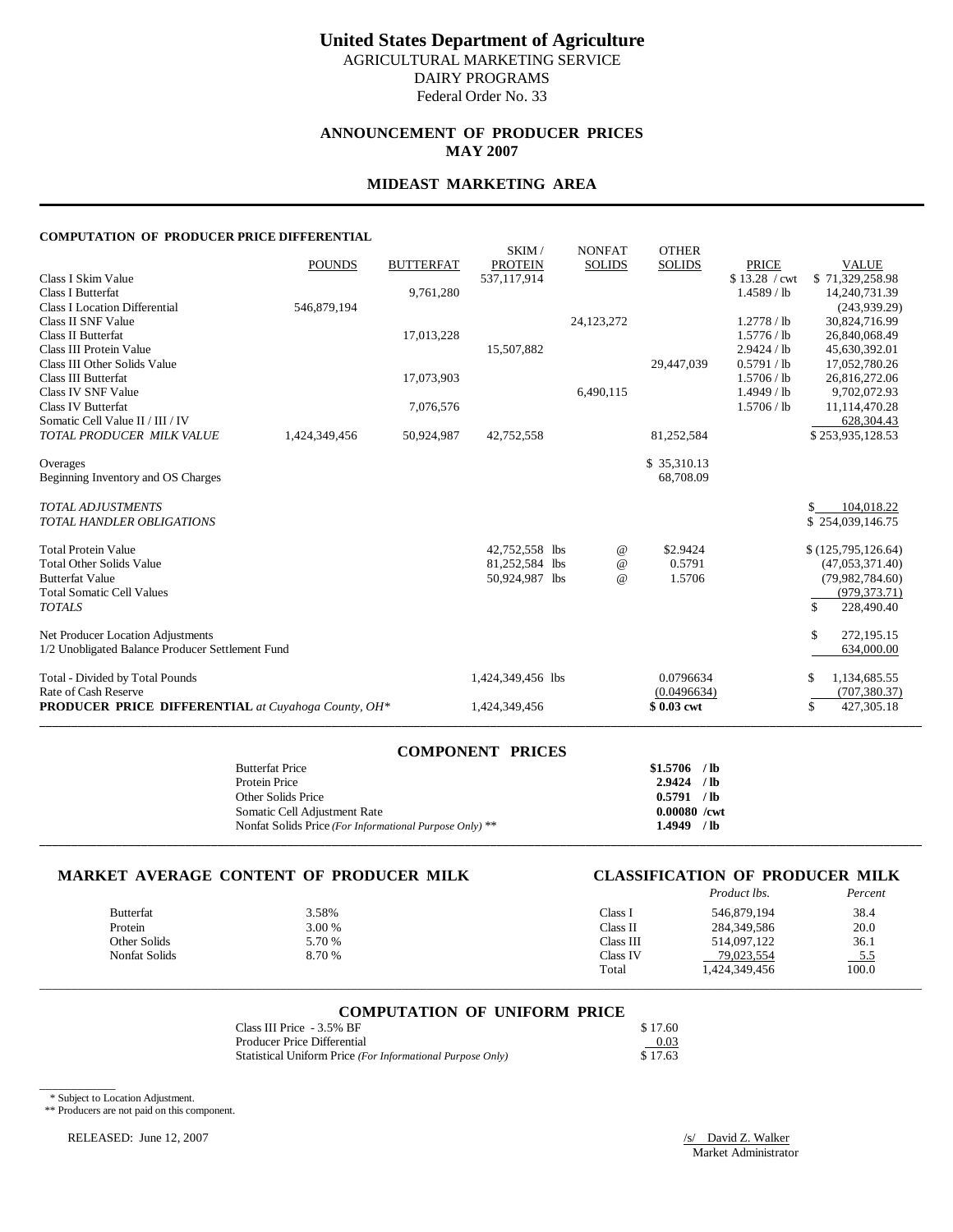# **United States Department of Agriculture**

AGRICULTURAL MARKETING SERVICE DAIRY PROGRAMS

Federal Order No. 33

### **ANNOUNCEMENT OF PRODUCER PRICES MAY 2007**

#### **MIDEAST MARKETING AREA**

#### **COMPUTATION OF PRODUCER PRICE DIFFERENTIAL**

| COMI OTATION OF TRODUCERTRICE DIFFERENTIAL                 |               |                  |                               |                                 |               |                               |                                 |
|------------------------------------------------------------|---------------|------------------|-------------------------------|---------------------------------|---------------|-------------------------------|---------------------------------|
|                                                            |               |                  | SKIM/                         | <b>NONFAT</b>                   | <b>OTHER</b>  |                               |                                 |
| Class I Skim Value                                         | <b>POUNDS</b> | <b>BUTTERFAT</b> | <b>PROTEIN</b><br>537,117,914 | <b>SOLIDS</b>                   | <b>SOLIDS</b> | <b>PRICE</b><br>\$13.28 / cwt | <b>VALUE</b><br>\$71,329,258.98 |
| <b>Class I Butterfat</b>                                   |               | 9,761,280        |                               |                                 |               | $1.4589$ / lb                 | 14,240,731.39                   |
| <b>Class I Location Differential</b>                       | 546,879,194   |                  |                               |                                 |               |                               | (243,939.29)                    |
| Class II SNF Value                                         |               |                  |                               | 24, 123, 272                    |               | 1.2778 / lb                   | 30,824,716.99                   |
| <b>Class II Butterfat</b>                                  |               | 17,013,228       |                               |                                 |               | 1.5776 / lb                   | 26,840,068.49                   |
| Class III Protein Value                                    |               |                  | 15,507,882                    |                                 |               | 2.9424 / lb                   | 45,630,392.01                   |
| Class III Other Solids Value                               |               |                  |                               |                                 | 29,447,039    | 0.5791 / lb                   | 17,052,780.26                   |
| <b>Class III Butterfat</b>                                 |               | 17,073,903       |                               |                                 |               | 1.5706 / lb                   | 26,816,272.06                   |
| Class IV SNF Value                                         |               |                  |                               | 6.490.115                       |               | 1.4949 / lb                   | 9,702,072.93                    |
| <b>Class IV Butterfat</b>                                  |               | 7,076,576        |                               |                                 |               | 1.5706 / lb                   | 11,114,470.28                   |
| Somatic Cell Value II / III / IV                           |               |                  |                               |                                 |               |                               | 628,304.43                      |
| TOTAL PRODUCER MILK VALUE                                  | 1,424,349,456 | 50,924,987       | 42,752,558                    |                                 | 81,252,584    |                               | \$253,935,128.53                |
|                                                            |               |                  |                               |                                 |               |                               |                                 |
| Overages                                                   |               |                  |                               |                                 | \$35,310.13   |                               |                                 |
| Beginning Inventory and OS Charges                         |               |                  |                               |                                 | 68,708.09     |                               |                                 |
| <b>TOTAL ADJUSTMENTS</b>                                   |               |                  |                               |                                 |               |                               | 104,018.22<br>S.                |
| <b>TOTAL HANDLER OBLIGATIONS</b>                           |               |                  |                               |                                 |               |                               | \$254,039,146.75                |
|                                                            |               |                  |                               |                                 |               |                               |                                 |
| <b>Total Protein Value</b>                                 |               |                  | 42,752,558 lbs                | $^{\,a}$                        | \$2.9424      |                               | \$(125,795,126.64)              |
| <b>Total Other Solids Value</b>                            |               |                  | 81,252,584 lbs                | $^{\scriptsize\textregistered}$ | 0.5791        |                               | (47,053,371.40)                 |
| <b>Butterfat Value</b>                                     |               |                  | 50,924,987 lbs                | $\omega$                        | 1.5706        |                               | (79,982,784.60)                 |
| <b>Total Somatic Cell Values</b>                           |               |                  |                               |                                 |               |                               | (979, 373.71)                   |
| <b>TOTALS</b>                                              |               |                  |                               |                                 |               |                               | \$.<br>228,490.40               |
| Net Producer Location Adjustments                          |               |                  |                               |                                 |               |                               | \$.<br>272,195.15               |
| 1/2 Unobligated Balance Producer Settlement Fund           |               |                  |                               |                                 |               |                               | 634,000.00                      |
|                                                            |               |                  |                               |                                 |               |                               |                                 |
| Total - Divided by Total Pounds                            |               |                  | 1,424,349,456 lbs             |                                 | 0.0796634     |                               | 1,134,685.55<br>\$              |
| Rate of Cash Reserve                                       |               |                  |                               |                                 | (0.0496634)   |                               | (707, 380.37)                   |
| <b>PRODUCER PRICE DIFFERENTIAL</b> at Cuyahoga County, OH* |               |                  | 1,424,349,456                 |                                 | \$0.03 cwt    |                               | \$<br>427,305.18                |
|                                                            |               |                  |                               |                                 |               |                               |                                 |

| <b>COMPONENT PRICES</b>                                 |                |
|---------------------------------------------------------|----------------|
| <b>Butterfat Price</b>                                  | $$1.5706$ /lb  |
| Protein Price                                           | $2.9424$ /lb   |
| Other Solids Price                                      | $0.5791$ /lb   |
| Somatic Cell Adjustment Rate                            | $0.00080$ /cwt |
| Nonfat Solids Price (For Informational Purpose Only) ** | 1.4949 /lb     |
|                                                         |                |

#### **MARKET AVERAGE CONTENT OF PRODUCER MILK CLASSIFICATION OF PRODUCER MILK**

# *Product lbs. Percent*

| <b>Butterfat</b> | 3.58%  | Class i   | 546.879.194  | 38.4   |
|------------------|--------|-----------|--------------|--------|
| Protein          | 3.00 % | Class II  | 284,349,586  | 20.0   |
| Other Solids     | 5.70 % | Class III | 514.097.122  | 36.1   |
| Nonfat Solids    | 8.70 % | Class IV  | 79,023,554   | $-5.5$ |
|                  |        | Total     | .424,349,456 | 100.0  |

\_\_\_\_\_\_\_\_\_\_\_\_\_\_\_\_\_\_\_\_\_\_\_\_\_\_\_\_\_\_\_\_\_\_\_\_\_\_\_\_\_\_\_\_\_\_\_\_\_\_\_\_\_\_\_\_\_\_\_\_\_\_\_\_\_\_\_\_\_\_\_\_\_\_\_\_\_\_\_\_\_\_\_\_\_\_\_\_\_\_\_\_\_\_\_\_\_\_\_\_\_\_\_\_\_\_\_\_\_\_\_\_\_\_\_\_\_\_\_\_\_\_\_\_\_\_\_\_\_\_\_\_\_\_\_\_\_\_\_

#### **COMPUTATION OF UNIFORM PRICE**

| Class III Price - 3.5% BF                                  | \$17.60 |
|------------------------------------------------------------|---------|
| Producer Price Differential                                | 0.03    |
| Statistical Uniform Price (For Informational Purpose Only) | \$17.63 |

\* Subject to Location Adjustment.

\_\_\_\_\_\_\_\_\_\_\_\_

\*\* Producers are not paid on this component.

RELEASED: June 12, 2007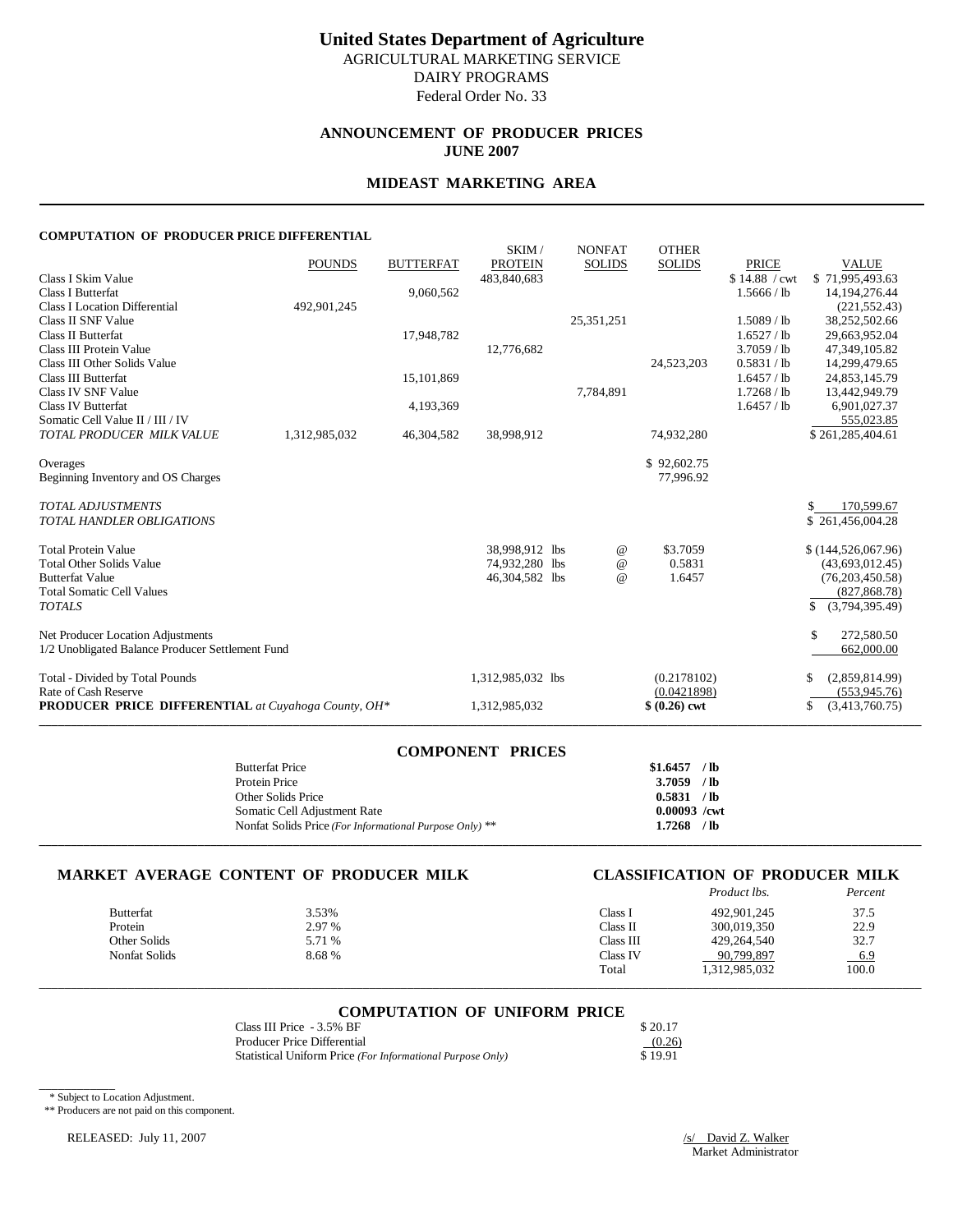Federal Order No. 33

# **ANNOUNCEMENT OF PRODUCER PRICES JUNE 2007**

#### **MIDEAST MARKETING AREA**

#### **COMPUTATION OF PRODUCER PRICE DIFFERENTIAL**

|                                                            | <b>POUNDS</b> | <b>BUTTERFAT</b> | SKIM/<br><b>PROTEIN</b> | <b>NONFAT</b><br><b>SOLIDS</b> | <b>OTHER</b><br><b>SOLIDS</b> | <b>PRICE</b>  | <b>VALUE</b>         |
|------------------------------------------------------------|---------------|------------------|-------------------------|--------------------------------|-------------------------------|---------------|----------------------|
| Class I Skim Value                                         |               |                  | 483,840,683             |                                |                               | \$14.88 / cwt | \$71,995,493.63      |
| <b>Class I Butterfat</b>                                   |               | 9,060,562        |                         |                                |                               | 1.5666 / lb   | 14,194,276.44        |
| <b>Class I Location Differential</b>                       | 492,901,245   |                  |                         |                                |                               |               | (221, 552.43)        |
| Class II SNF Value                                         |               |                  |                         | 25, 351, 251                   |                               | $1.5089$ / lb | 38,252,502.66        |
| Class II Butterfat                                         |               | 17,948,782       |                         |                                |                               | 1.6527 / lb   | 29,663,952.04        |
| Class III Protein Value                                    |               |                  | 12,776,682              |                                |                               | 3.7059 / lb   | 47,349,105.82        |
| Class III Other Solids Value                               |               |                  |                         |                                | 24,523,203                    | 0.5831 / lb   | 14,299,479.65        |
| <b>Class III Butterfat</b>                                 |               | 15,101,869       |                         |                                |                               | 1.6457 / lb   | 24,853,145.79        |
| Class IV SNF Value                                         |               |                  |                         | 7,784,891                      |                               | 1.7268 / lb   | 13,442,949.79        |
| <b>Class IV Butterfat</b>                                  |               | 4,193,369        |                         |                                |                               | 1.6457 / lb   | 6,901,027.37         |
| Somatic Cell Value II / III / IV                           |               |                  |                         |                                |                               |               | 555.023.85           |
| TOTAL PRODUCER MILK VALUE                                  | 1,312,985,032 | 46,304,582       | 38,998,912              |                                | 74,932,280                    |               | \$261,285,404.61     |
| Overages                                                   |               |                  |                         |                                | \$92,602.75                   |               |                      |
| Beginning Inventory and OS Charges                         |               |                  |                         |                                | 77,996.92                     |               |                      |
|                                                            |               |                  |                         |                                |                               |               |                      |
| <b>TOTAL ADJUSTMENTS</b>                                   |               |                  |                         |                                |                               |               | \$<br>170,599.67     |
| <b>TOTAL HANDLER OBLIGATIONS</b>                           |               |                  |                         |                                |                               |               | \$261,456,004.28     |
|                                                            |               |                  |                         |                                |                               |               |                      |
| <b>Total Protein Value</b>                                 |               |                  | 38,998,912 lbs          | $^{\,a}$                       | \$3.7059                      |               | \$(144,526,067.96)   |
| <b>Total Other Solids Value</b>                            |               |                  | 74,932,280 lbs          | $^{\copyright}$                | 0.5831                        |               | (43,693,012.45)      |
| <b>Butterfat Value</b>                                     |               |                  | 46,304,582 lbs          | $^{\omega}{}$                  | 1.6457                        |               | (76,203,450.58)      |
| <b>Total Somatic Cell Values</b>                           |               |                  |                         |                                |                               |               | (827, 868.78)        |
| <b>TOTALS</b>                                              |               |                  |                         |                                |                               |               | \$<br>(3,794,395.49) |
| Net Producer Location Adjustments                          |               |                  |                         |                                |                               |               | \$.<br>272,580.50    |
| 1/2 Unobligated Balance Producer Settlement Fund           |               |                  |                         |                                |                               |               | 662,000.00           |
|                                                            |               |                  |                         |                                |                               |               |                      |
| Total - Divided by Total Pounds                            |               |                  | 1,312,985,032 lbs       |                                | (0.2178102)                   |               | (2,859,814.99)<br>S  |
| Rate of Cash Reserve                                       |               |                  |                         |                                | (0.0421898)                   |               | (553, 945, 76)       |
| <b>PRODUCER PRICE DIFFERENTIAL</b> at Cuyahoga County, OH* |               |                  | 1,312,985,032           |                                | $$ (0.26)$ cwt                |               | (3,413,760.75)<br>\$ |
|                                                            |               |                  |                         |                                |                               |               |                      |

| <b>COMPONENT PRICES</b>                                 |                |
|---------------------------------------------------------|----------------|
| <b>Butterfat Price</b>                                  | $$1.6457$ /lb  |
| Protein Price                                           | $3.7059$ /lb   |
| Other Solids Price                                      | 0.5831 / lb    |
| Somatic Cell Adjustment Rate                            | $0.00093$ /cwt |
| Nonfat Solids Price (For Informational Purpose Only) ** | $1.7268$ /lb   |
|                                                         |                |

### **MARKET AVERAGE CONTENT OF PRODUCER MILK CLASSIFICATION OF PRODUCER MILK**

# *Product lbs. Percent*

| 3.53%  | Class l                       | 492,901,245   | 37.5   |
|--------|-------------------------------|---------------|--------|
| 2.97 % | Class II                      | 300,019.350   | 22.9   |
| 5.71 % | Class III                     | 429,264,540   | 32.7   |
| 8.68 % | Class IV                      | 90.799.897    | $-6.9$ |
|        | Total                         | 1,312,985,032 | 100.0  |
|        | Other Solids<br>Nonfat Solids |               |        |

# \_\_\_\_\_\_\_\_\_\_\_\_\_\_\_\_\_\_\_\_\_\_\_\_\_\_\_\_\_\_\_\_\_\_\_\_\_\_\_\_\_\_\_\_\_\_\_\_\_\_\_\_\_\_\_\_\_\_\_\_\_\_\_\_\_\_\_\_\_\_\_\_\_\_\_\_\_\_\_\_\_\_\_\_\_\_\_\_\_\_\_\_\_\_\_\_\_\_\_\_\_\_\_\_\_\_\_\_\_\_\_\_\_\_\_\_\_\_\_\_\_\_\_\_\_\_\_\_\_\_\_\_\_\_\_\_\_\_\_ **COMPUTATION OF UNIFORM PRICE**

| Class III Price - 3.5% BF                                  | \$20.17 |
|------------------------------------------------------------|---------|
| Producer Price Differential                                | (0.26)  |
| Statistical Uniform Price (For Informational Purpose Only) | \$19.91 |

\* Subject to Location Adjustment.

\_\_\_\_\_\_\_\_\_\_\_\_

\*\* Producers are not paid on this component.

RELEASED: July 11, 2007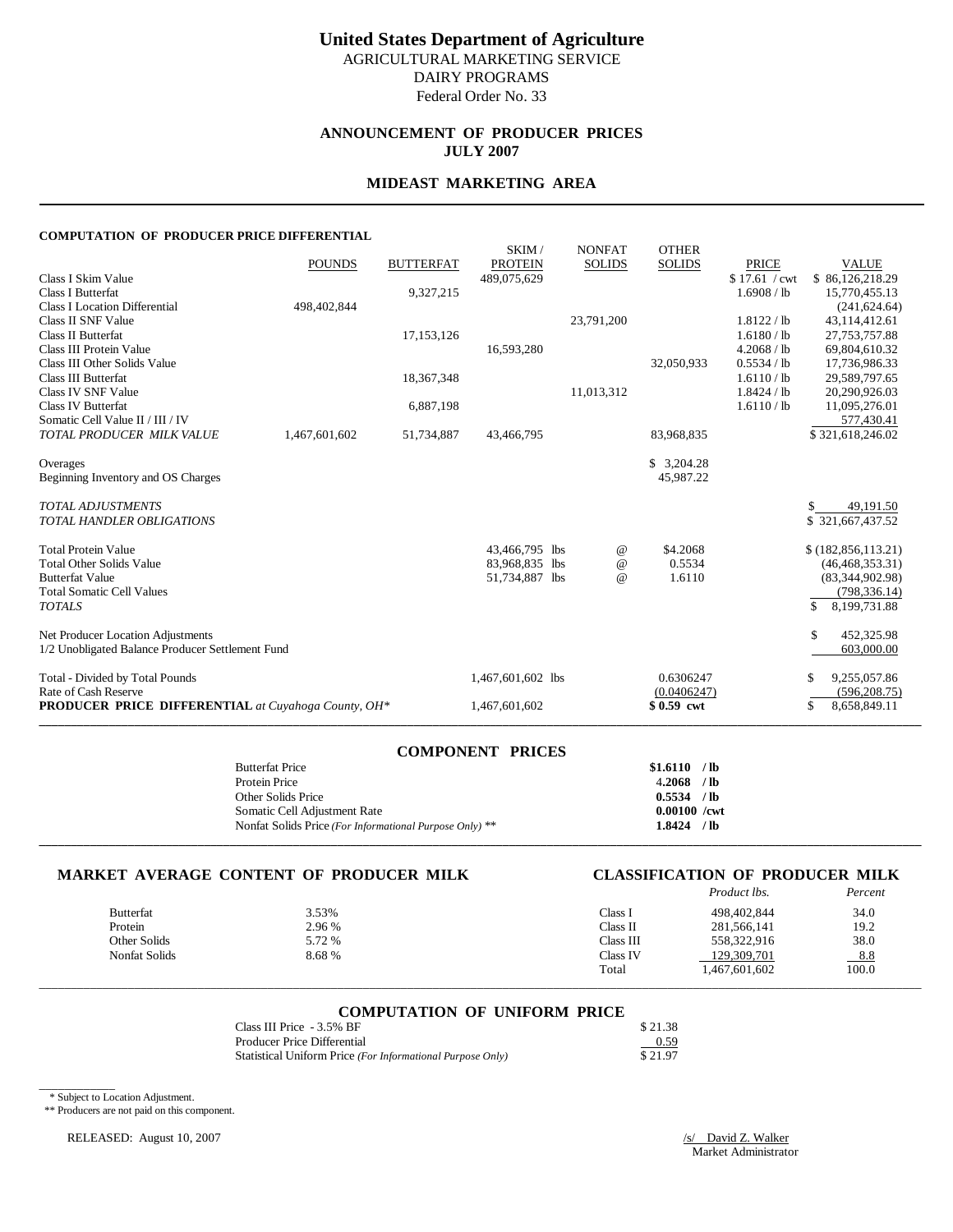# **United States Department of Agriculture** AGRICULTURAL MARKETING SERVICE

DAIRY PROGRAMS

Federal Order No. 33

# **ANNOUNCEMENT OF PRODUCER PRICES JULY 2007**

### **MIDEAST MARKETING AREA**

#### **COMPUTATION OF PRODUCER PRICE DIFFERENTIAL**

|                                                            | <b>POUNDS</b> | <b>BUTTERFAT</b> | SKIM/<br><b>PROTEIN</b> | <b>NONFAT</b><br><b>SOLIDS</b> | <b>OTHER</b><br><b>SOLIDS</b> | <b>PRICE</b>  | <b>VALUE</b>         |
|------------------------------------------------------------|---------------|------------------|-------------------------|--------------------------------|-------------------------------|---------------|----------------------|
| Class I Skim Value                                         |               |                  | 489,075,629             |                                |                               | \$17.61 / cwt | \$86,126,218.29      |
| <b>Class I Butterfat</b>                                   |               | 9,327,215        |                         |                                |                               | 1.6908 / lb   | 15,770,455.13        |
| <b>Class I Location Differential</b>                       | 498,402,844   |                  |                         |                                |                               |               | (241, 624, 64)       |
| Class II SNF Value                                         |               |                  |                         | 23,791,200                     |                               | 1.8122 / lb   | 43,114,412.61        |
| Class II Butterfat                                         |               | 17,153,126       |                         |                                |                               | 1.6180 / lb   | 27, 753, 757.88      |
| Class III Protein Value                                    |               |                  | 16,593,280              |                                |                               | 4.2068 / lb   | 69,804,610.32        |
| Class III Other Solids Value                               |               |                  |                         |                                | 32,050,933                    | 0.5534 / lb   | 17,736,986.33        |
| <b>Class III Butterfat</b>                                 |               | 18,367,348       |                         |                                |                               | 1.6110 / lb   | 29,589,797.65        |
| Class IV SNF Value                                         |               |                  |                         | 11,013,312                     |                               | 1.8424 / lb   | 20.290.926.03        |
| Class IV Butterfat                                         |               | 6,887,198        |                         |                                |                               | 1.6110 / lb   | 11,095,276.01        |
| Somatic Cell Value II / III / IV                           |               |                  |                         |                                |                               |               | 577.430.41           |
| TOTAL PRODUCER MILK VALUE                                  | 1,467,601,602 | 51,734,887       | 43,466,795              |                                | 83,968,835                    |               | \$321,618,246.02     |
| Overages                                                   |               |                  |                         |                                | \$3,204.28                    |               |                      |
| Beginning Inventory and OS Charges                         |               |                  |                         |                                | 45,987.22                     |               |                      |
| <b>TOTAL ADJUSTMENTS</b>                                   |               |                  |                         |                                |                               |               | 49,191.50            |
| <b>TOTAL HANDLER OBLIGATIONS</b>                           |               |                  |                         |                                |                               |               | \$321,667,437.52     |
| <b>Total Protein Value</b>                                 |               |                  | 43,466,795 lbs          | $^{\,a}$                       | \$4.2068                      |               | \$(182, 856, 113.21) |
| <b>Total Other Solids Value</b>                            |               |                  | 83,968,835 lbs          | $^{\copyright}$                | 0.5534                        |               | (46, 468, 353.31)    |
| <b>Butterfat Value</b>                                     |               |                  | 51,734,887 lbs          | $^{\omega}{}$                  | 1.6110                        |               | (83,344,902.98)      |
| <b>Total Somatic Cell Values</b>                           |               |                  |                         |                                |                               |               | (798, 336.14)        |
| <b>TOTALS</b>                                              |               |                  |                         |                                |                               |               | \$<br>8,199,731.88   |
| Net Producer Location Adjustments                          |               |                  |                         |                                |                               |               | \$.<br>452,325.98    |
| 1/2 Unobligated Balance Producer Settlement Fund           |               |                  |                         |                                |                               |               | 603,000.00           |
| Total - Divided by Total Pounds                            |               |                  | 1,467,601,602 lbs       |                                | 0.6306247                     |               | \$<br>9,255,057.86   |
| Rate of Cash Reserve                                       |               |                  |                         |                                | (0.0406247)                   |               | (596, 208.75)        |
| <b>PRODUCER PRICE DIFFERENTIAL</b> at Cuyahoga County, OH* |               |                  | 1,467,601,602           |                                | \$0.59 cwt                    |               | \$<br>8,658,849.11   |
|                                                            |               |                  |                         |                                |                               |               |                      |

| <b>COMPONENT PRICES</b>                                 |                |
|---------------------------------------------------------|----------------|
| <b>Butterfat Price</b>                                  | $$1.6110$ /lb  |
| Protein Price                                           | $4.2068$ /lb   |
| Other Solids Price                                      | $0.5534$ /lb   |
| Somatic Cell Adjustment Rate                            | $0.00100$ /cwt |
| Nonfat Solids Price (For Informational Purpose Only) ** | 1.8424 / lb    |
|                                                         |                |

# **MARKET AVERAGE CONTENT OF PRODUCER MILK CLASSIFICATION OF PRODUCER MILK**

# *Product lbs. Percent*

| 3.53%  | Class 1   | 498,402,844   | 34.0  |
|--------|-----------|---------------|-------|
| 2.96 % | Class II  | 281.566.141   | 19.2  |
| 5.72 % | Class III | 558,322,916   | 38.0  |
| 8.68 % | Class IV  | 129.309.701   | 8.8   |
|        | Total     | 1,467,601,602 | 100.0 |
|        |           |               |       |

# \_\_\_\_\_\_\_\_\_\_\_\_\_\_\_\_\_\_\_\_\_\_\_\_\_\_\_\_\_\_\_\_\_\_\_\_\_\_\_\_\_\_\_\_\_\_\_\_\_\_\_\_\_\_\_\_\_\_\_\_\_\_\_\_\_\_\_\_\_\_\_\_\_\_\_\_\_\_\_\_\_\_\_\_\_\_\_\_\_\_\_\_\_\_\_\_\_\_\_\_\_\_\_\_\_\_\_\_\_\_\_\_\_\_\_\_\_\_\_\_\_\_\_\_\_\_\_\_\_\_\_\_\_\_\_\_\_\_\_ **COMPUTATION OF UNIFORM PRICE**

| Class III Price - 3.5% BF                                  | \$21.38 |
|------------------------------------------------------------|---------|
| Producer Price Differential                                | 0.59    |
| Statistical Uniform Price (For Informational Purpose Only) | \$21.97 |

\* Subject to Location Adjustment.

\_\_\_\_\_\_\_\_\_\_\_\_

\*\* Producers are not paid on this component.

RELEASED: August 10, 2007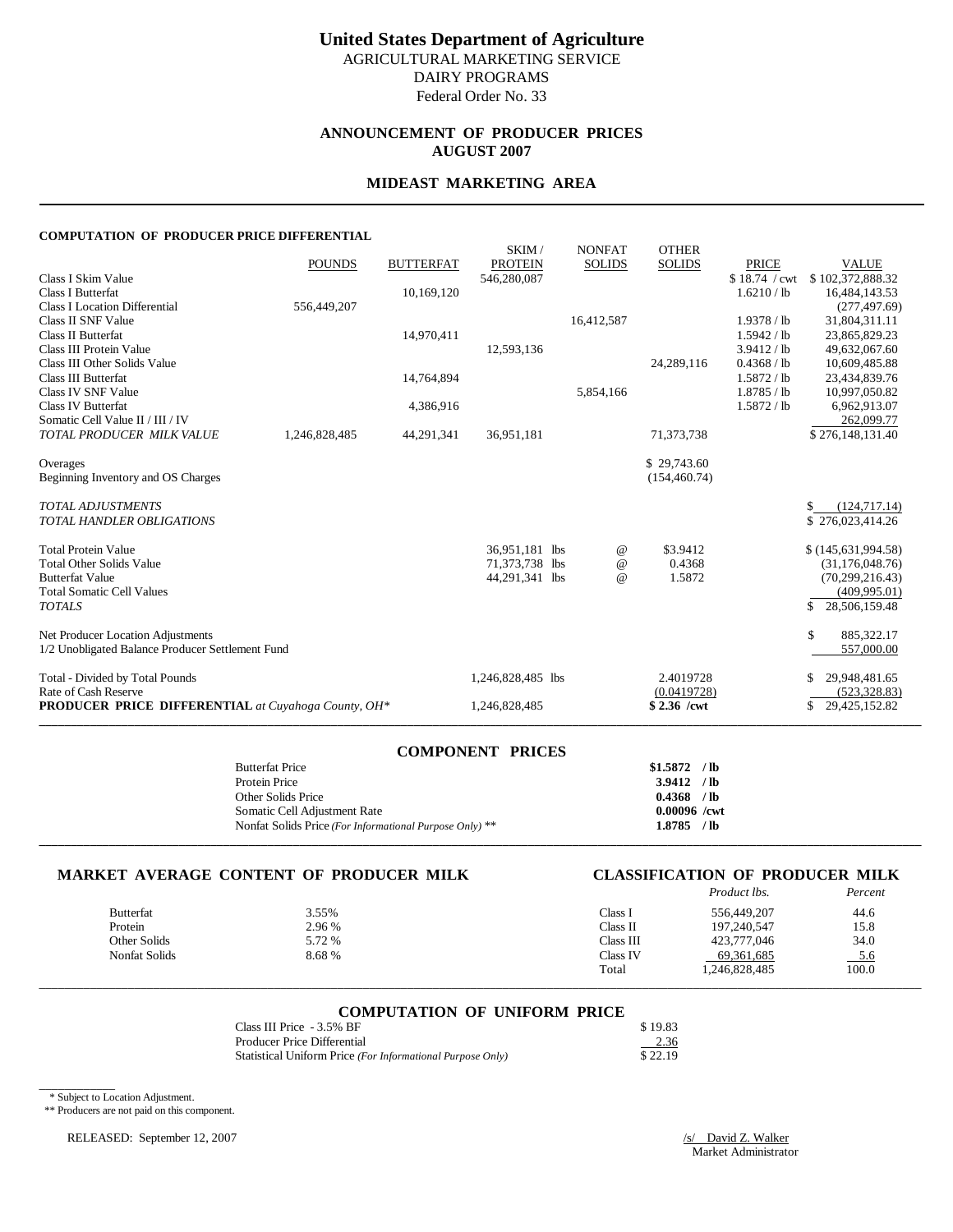# **ANNOUNCEMENT OF PRODUCER PRICES AUGUST 2007**

# **MIDEAST MARKETING AREA**

#### **COMPUTATION OF PRODUCER PRICE DIFFERENTIAL**

|                                                            | <b>POUNDS</b> | <b>BUTTERFAT</b> | SKIM/<br><b>PROTEIN</b> | <b>NONFAT</b><br><b>SOLIDS</b> | <b>OTHER</b><br><b>SOLIDS</b> | <b>PRICE</b>  | <b>VALUE</b>        |
|------------------------------------------------------------|---------------|------------------|-------------------------|--------------------------------|-------------------------------|---------------|---------------------|
| Class I Skim Value                                         |               |                  | 546,280,087             |                                |                               | \$18.74 / cwt | \$102,372,888.32    |
| <b>Class I Butterfat</b>                                   |               | 10,169,120       |                         |                                |                               | 1.6210 / lb   | 16,484,143.53       |
| <b>Class I Location Differential</b>                       | 556,449,207   |                  |                         |                                |                               |               | (277, 497.69)       |
| Class II SNF Value                                         |               |                  |                         | 16,412,587                     |                               | 1.9378 / lb   | 31,804,311.11       |
| Class II Butterfat                                         |               | 14,970,411       |                         |                                |                               | 1.5942 / lb   | 23,865,829.23       |
| Class III Protein Value                                    |               |                  | 12,593,136              |                                |                               | 3.9412 / lb   | 49,632,067.60       |
| Class III Other Solids Value                               |               |                  |                         |                                | 24,289,116                    | 0.4368 / lb   | 10,609,485.88       |
| <b>Class III Butterfat</b>                                 |               | 14,764,894       |                         |                                |                               | 1.5872 / lb   | 23,434,839.76       |
| Class IV SNF Value                                         |               |                  |                         | 5,854,166                      |                               | 1.8785 / lb   | 10,997,050.82       |
| <b>Class IV Butterfat</b>                                  |               | 4,386,916        |                         |                                |                               | 1.5872 / lb   | 6,962,913.07        |
| Somatic Cell Value II / III / IV                           |               |                  |                         |                                |                               |               | 262,099.77          |
| TOTAL PRODUCER MILK VALUE                                  | 1,246,828,485 | 44,291,341       | 36,951,181              |                                | 71,373,738                    |               | \$276,148,131.40    |
| Overages                                                   |               |                  |                         |                                | \$29,743.60                   |               |                     |
| Beginning Inventory and OS Charges                         |               |                  |                         |                                | (154, 460.74)                 |               |                     |
|                                                            |               |                  |                         |                                |                               |               |                     |
| <b>TOTAL ADJUSTMENTS</b>                                   |               |                  |                         |                                |                               |               | (124, 717.14)<br>\$ |
| <b>TOTAL HANDLER OBLIGATIONS</b>                           |               |                  |                         |                                |                               |               | \$276,023,414.26    |
|                                                            |               |                  |                         |                                |                               |               |                     |
| <b>Total Protein Value</b>                                 |               |                  | 36,951,181 lbs          | $^{\,a}$                       | \$3.9412                      |               | \$(145,631,994.58)  |
| <b>Total Other Solids Value</b>                            |               |                  | 71,373,738 lbs          | $^{\copyright}$                | 0.4368                        |               | (31, 176, 048.76)   |
| <b>Butterfat Value</b>                                     |               |                  | 44,291,341 lbs          | $^{\omega}{}$                  | 1.5872                        |               | (70, 299, 216.43)   |
| <b>Total Somatic Cell Values</b>                           |               |                  |                         |                                |                               |               | (409, 995.01)       |
| <b>TOTALS</b>                                              |               |                  |                         |                                |                               |               | S<br>28,506,159.48  |
| Net Producer Location Adjustments                          |               |                  |                         |                                |                               |               | \$<br>885,322.17    |
| 1/2 Unobligated Balance Producer Settlement Fund           |               |                  |                         |                                |                               |               | 557,000.00          |
|                                                            |               |                  |                         |                                |                               |               |                     |
| Total - Divided by Total Pounds                            |               |                  | 1,246,828,485 lbs       |                                | 2.4019728                     |               | 29,948,481.65<br>\$ |
| Rate of Cash Reserve                                       |               |                  |                         |                                | (0.0419728)                   |               | (523, 328.83)       |
| <b>PRODUCER PRICE DIFFERENTIAL</b> at Cuyahoga County, OH* |               |                  | 1,246,828,485           |                                | $$2.36$ /cwt                  |               | 29,425,152.82<br>\$ |
|                                                            |               |                  |                         |                                |                               |               |                     |

| <b>COMPONENT PRICES</b>                                 |                |
|---------------------------------------------------------|----------------|
| <b>Butterfat Price</b>                                  | $$1.5872$ /lb  |
| Protein Price                                           | $3.9412$ /lb   |
| Other Solids Price                                      | $0.4368$ /lb   |
| Somatic Cell Adjustment Rate                            | $0.00096$ /cwt |
| Nonfat Solids Price (For Informational Purpose Only) ** | 1.8785 / lb    |
|                                                         |                |

### **MARKET AVERAGE CONTENT OF PRODUCER MILK CLASSIFICATION OF PRODUCER MILK**

# *Product lbs. Percent*

| Butterfat     | 3.55%  | Class I   | 556,449,207   | 44.6  |
|---------------|--------|-----------|---------------|-------|
| Protein       | 2.96 % | Class II  | 197.240.547   | 15.8  |
| Other Solids  | 5.72 % | Class III | 423,777,046   | 34.0  |
| Nonfat Solids | 8.68%  | Class IV  | 69, 361, 685  | 5.6   |
|               |        | Total     | 1,246,828,485 | 100.0 |

# \_\_\_\_\_\_\_\_\_\_\_\_\_\_\_\_\_\_\_\_\_\_\_\_\_\_\_\_\_\_\_\_\_\_\_\_\_\_\_\_\_\_\_\_\_\_\_\_\_\_\_\_\_\_\_\_\_\_\_\_\_\_\_\_\_\_\_\_\_\_\_\_\_\_\_\_\_\_\_\_\_\_\_\_\_\_\_\_\_\_\_\_\_\_\_\_\_\_\_\_\_\_\_\_\_\_\_\_\_\_\_\_\_\_\_\_\_\_\_\_\_\_\_\_\_\_\_\_\_\_\_\_\_\_\_\_\_\_\_ **COMPUTATION OF UNIFORM PRICE**

| Class III Price - 3.5% BF                                  | \$19.83 |
|------------------------------------------------------------|---------|
| <b>Producer Price Differential</b>                         | 2.36    |
| Statistical Uniform Price (For Informational Purpose Only) | \$22.19 |

\* Subject to Location Adjustment.

\_\_\_\_\_\_\_\_\_\_\_\_

\*\* Producers are not paid on this component.

RELEASED: September 12, 2007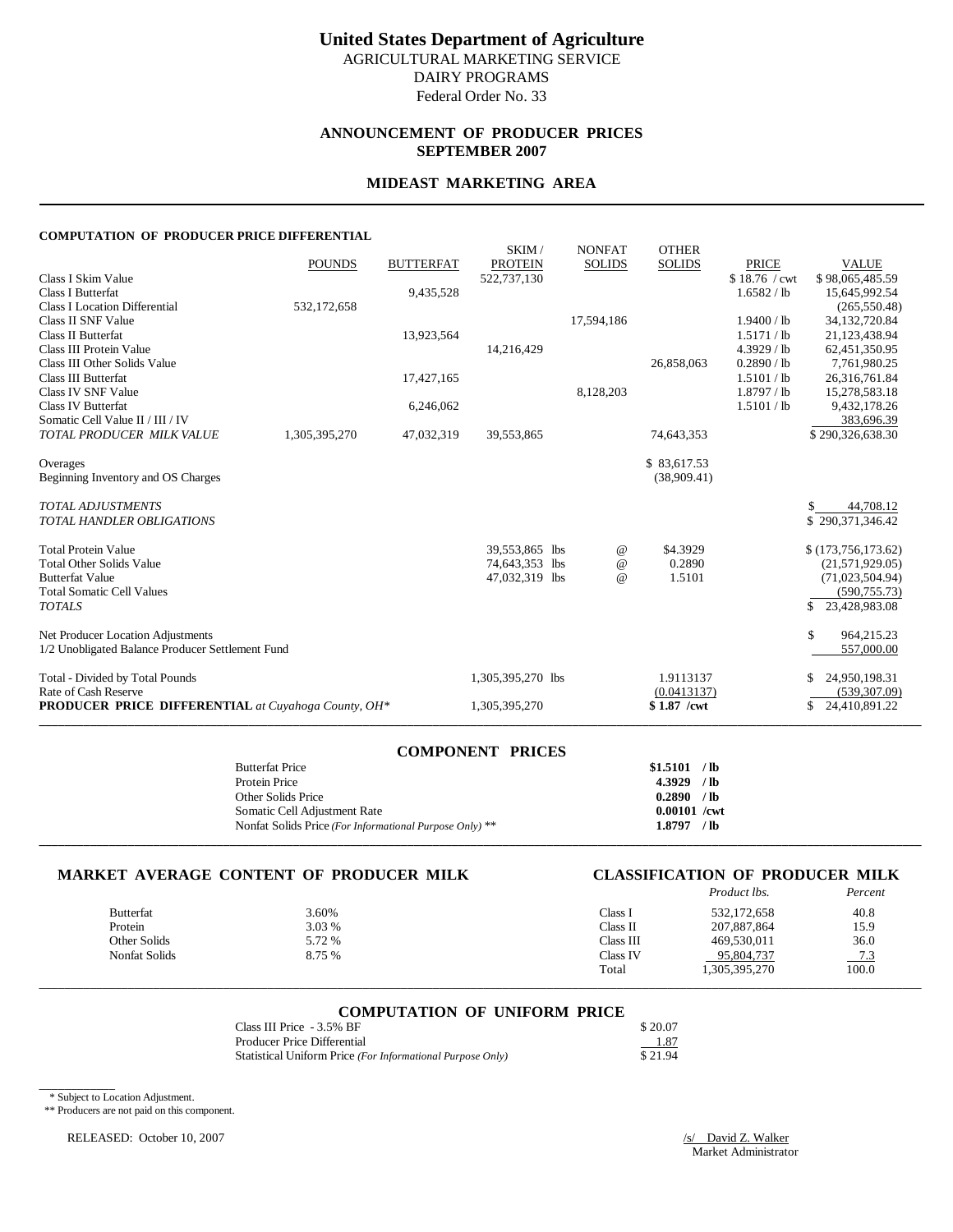# **ANNOUNCEMENT OF PRODUCER PRICES SEPTEMBER 2007**

# **MIDEAST MARKETING AREA**

#### **COMPUTATION OF PRODUCER PRICE DIFFERENTIAL**

|                                                            | <b>POUNDS</b> | <b>BUTTERFAT</b> | SKIM/<br><b>PROTEIN</b>          | <b>NONFAT</b><br><b>SOLIDS</b> | <b>OTHER</b><br><b>SOLIDS</b> | <b>PRICE</b>  | <b>VALUE</b>                          |
|------------------------------------------------------------|---------------|------------------|----------------------------------|--------------------------------|-------------------------------|---------------|---------------------------------------|
| Class I Skim Value                                         |               |                  | 522,737,130                      |                                |                               | \$18.76 / cwt | \$98,065,485.59                       |
| <b>Class I Butterfat</b>                                   |               | 9,435,528        |                                  |                                |                               | 1.6582 / lb   | 15,645,992.54                         |
| <b>Class I Location Differential</b>                       | 532,172,658   |                  |                                  |                                |                               |               | (265, 550.48)                         |
| Class II SNF Value                                         |               |                  |                                  | 17,594,186                     |                               | 1.9400 / lb   | 34,132,720.84                         |
| Class II Butterfat                                         |               | 13,923,564       |                                  |                                |                               | 1.5171 / lb   | 21,123,438.94                         |
| Class III Protein Value                                    |               |                  | 14,216,429                       |                                |                               | $4.3929$ / lb | 62,451,350.95                         |
| Class III Other Solids Value                               |               |                  |                                  |                                | 26,858,063                    | 0.2890 / lb   | 7,761,980.25                          |
| <b>Class III Butterfat</b>                                 |               | 17,427,165       |                                  |                                |                               | 1.5101 / lb   | 26,316,761.84                         |
| Class IV SNF Value                                         |               |                  |                                  | 8,128,203                      |                               | 1.8797 / lb   | 15,278,583.18                         |
| <b>Class IV Butterfat</b>                                  |               | 6,246,062        |                                  |                                |                               | 1.5101 / lb   | 9,432,178.26                          |
| Somatic Cell Value II / III / IV                           |               |                  |                                  |                                |                               |               | 383,696.39                            |
| TOTAL PRODUCER MILK VALUE                                  | 1,305,395,270 | 47,032,319       | 39,553,865                       |                                | 74,643,353                    |               | \$290,326,638.30                      |
| Overages                                                   |               |                  |                                  |                                | \$83,617.53                   |               |                                       |
| Beginning Inventory and OS Charges                         |               |                  |                                  |                                | (38,909.41)                   |               |                                       |
|                                                            |               |                  |                                  |                                |                               |               |                                       |
| <b>TOTAL ADJUSTMENTS</b>                                   |               |                  |                                  |                                |                               |               | 44,708.12                             |
| <b>TOTAL HANDLER OBLIGATIONS</b>                           |               |                  |                                  |                                |                               |               | \$290,371,346.42                      |
| <b>Total Protein Value</b>                                 |               |                  |                                  |                                | \$4.3929                      |               |                                       |
| <b>Total Other Solids Value</b>                            |               |                  | 39,553,865 lbs<br>74,643,353 lbs | $^{\,a}$<br>$^{\copyright}$    | 0.2890                        |               | \$(173,756,173.62)<br>(21,571,929.05) |
| <b>Butterfat Value</b>                                     |               |                  | 47,032,319 lbs                   | $^{\omega}{}$                  | 1.5101                        |               | (71,023,504.94)                       |
| <b>Total Somatic Cell Values</b>                           |               |                  |                                  |                                |                               |               | (590, 755.73)                         |
| <b>TOTALS</b>                                              |               |                  |                                  |                                |                               |               | S.<br>23,428,983.08                   |
|                                                            |               |                  |                                  |                                |                               |               |                                       |
| Net Producer Location Adjustments                          |               |                  |                                  |                                |                               |               | \$<br>964,215.23                      |
| 1/2 Unobligated Balance Producer Settlement Fund           |               |                  |                                  |                                |                               |               | 557,000.00                            |
| Total - Divided by Total Pounds                            |               |                  | 1,305,395,270 lbs                |                                | 1.9113137                     |               | 24,950,198.31<br>S                    |
| Rate of Cash Reserve                                       |               |                  |                                  |                                | (0.0413137)                   |               | (539, 307.09)                         |
| <b>PRODUCER PRICE DIFFERENTIAL</b> at Cuyahoga County, OH* |               |                  | 1,305,395,270                    |                                | \$1.87 /cwt                   |               | 24,410,891.22<br>\$                   |
|                                                            |               |                  |                                  |                                |                               |               |                                       |

| <b>COMPONENT PRICES</b>                                 |                |  |
|---------------------------------------------------------|----------------|--|
| <b>Butterfat Price</b>                                  | $$1.5101$ /lb  |  |
| Protein Price                                           | $4.3929$ /lb   |  |
| Other Solids Price                                      | $0.2890$ /lb   |  |
| Somatic Cell Adjustment Rate                            | $0.00101$ /cwt |  |
| Nonfat Solids Price (For Informational Purpose Only) ** | 1.8797 / lb    |  |
|                                                         |                |  |

### **MARKET AVERAGE CONTENT OF PRODUCER MILK CLASSIFICATION OF PRODUCER MILK**

|                  |        |           | Product lbs.  | Percent |
|------------------|--------|-----------|---------------|---------|
| <b>Butterfat</b> | 3.60%  | Class 1   | 532,172,658   | 40.8    |
| Protein          | 3.03 % | Class II  | 207,887,864   | 15.9    |
| Other Solids     | 5.72 % | Class III | 469,530,011   | 36.0    |
| Nonfat Solids    | 8.75 % | Class IV  | 95,804,737    | $-7.3$  |
|                  |        | Total     | 1,305,395,270 | 100.0   |

# \_\_\_\_\_\_\_\_\_\_\_\_\_\_\_\_\_\_\_\_\_\_\_\_\_\_\_\_\_\_\_\_\_\_\_\_\_\_\_\_\_\_\_\_\_\_\_\_\_\_\_\_\_\_\_\_\_\_\_\_\_\_\_\_\_\_\_\_\_\_\_\_\_\_\_\_\_\_\_\_\_\_\_\_\_\_\_\_\_\_\_\_\_\_\_\_\_\_\_\_\_\_\_\_\_\_\_\_\_\_\_\_\_\_\_\_\_\_\_\_\_\_\_\_\_\_\_\_\_\_\_\_\_\_\_\_\_\_\_ **COMPUTATION OF UNIFORM PRICE**

| Class III Price - 3.5% BF                                  | \$20.07 |
|------------------------------------------------------------|---------|
| Producer Price Differential                                | 1.87    |
| Statistical Uniform Price (For Informational Purpose Only) | \$21.94 |

\* Subject to Location Adjustment.

\_\_\_\_\_\_\_\_\_\_\_\_

\*\* Producers are not paid on this component.

RELEASED: October 10, 2007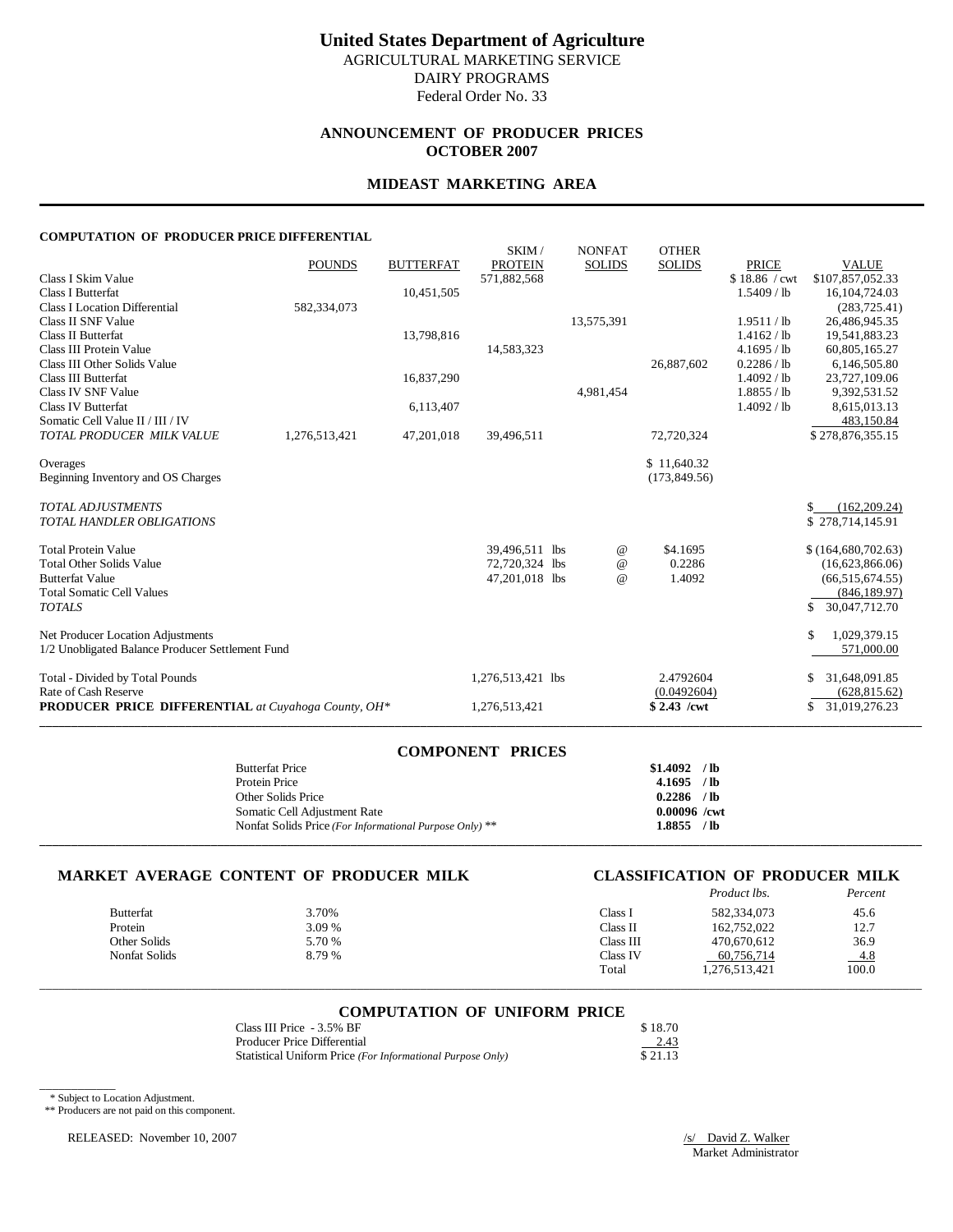# **United States Department of Agriculture** AGRICULTURAL MARKETING SERVICE

DAIRY PROGRAMS

Federal Order No. 33

### **ANNOUNCEMENT OF PRODUCER PRICES OCTOBER 2007**

#### **MIDEAST MARKETING AREA**

#### **COMPUTATION OF PRODUCER PRICE DIFFERENTIAL**

| COMI OTATION OF TRODUCERTRICE DIFFERENTIAL                 |               |                  |                         |                                 |                               |               |                     |
|------------------------------------------------------------|---------------|------------------|-------------------------|---------------------------------|-------------------------------|---------------|---------------------|
|                                                            | <b>POUNDS</b> | <b>BUTTERFAT</b> | SKIM/<br><b>PROTEIN</b> | <b>NONFAT</b><br><b>SOLIDS</b>  | <b>OTHER</b><br><b>SOLIDS</b> | <b>PRICE</b>  | <b>VALUE</b>        |
| Class I Skim Value                                         |               |                  | 571,882,568             |                                 |                               | \$18.86 / cwt | \$107,857,052.33    |
| <b>Class I Butterfat</b>                                   |               | 10,451,505       |                         |                                 |                               | 1.5409 / lb   | 16, 104, 724. 03    |
| <b>Class I Location Differential</b>                       | 582,334,073   |                  |                         |                                 |                               |               | (283, 725.41)       |
| Class II SNF Value                                         |               |                  |                         | 13,575,391                      |                               | 1.9511 / lb   | 26,486,945.35       |
| <b>Class II Butterfat</b>                                  |               | 13,798,816       |                         |                                 |                               | 1.4162 / lb   | 19,541,883.23       |
| Class III Protein Value                                    |               |                  | 14,583,323              |                                 |                               | 4.1695 / lb   | 60,805,165.27       |
| Class III Other Solids Value                               |               |                  |                         |                                 | 26,887,602                    | 0.2286 / lb   | 6,146,505.80        |
| <b>Class III Butterfat</b>                                 |               | 16,837,290       |                         |                                 |                               | 1.4092 / lb   | 23,727,109.06       |
| Class IV SNF Value                                         |               |                  |                         | 4,981,454                       |                               | 1.8855 / lb   | 9,392,531.52        |
| Class IV Butterfat                                         |               | 6,113,407        |                         |                                 |                               | 1.4092 / lb   | 8,615,013.13        |
| Somatic Cell Value II / III / IV                           |               |                  |                         |                                 |                               |               | 483,150.84          |
| TOTAL PRODUCER MILK VALUE                                  | 1,276,513,421 | 47,201,018       | 39,496,511              |                                 | 72,720,324                    |               | \$278,876,355.15    |
|                                                            |               |                  |                         |                                 |                               |               |                     |
| Overages                                                   |               |                  |                         |                                 | \$11,640.32                   |               |                     |
| Beginning Inventory and OS Charges                         |               |                  |                         |                                 | (173, 849.56)                 |               |                     |
|                                                            |               |                  |                         |                                 |                               |               |                     |
| <b>TOTAL ADJUSTMENTS</b>                                   |               |                  |                         |                                 |                               |               | (162, 209.24)       |
| <b>TOTAL HANDLER OBLIGATIONS</b>                           |               |                  |                         |                                 |                               |               | \$278,714,145.91    |
| <b>Total Protein Value</b>                                 |               |                  | 39,496,511 lbs          | $^{\,a}$                        | \$4.1695                      |               | \$(164,680,702.63)  |
| <b>Total Other Solids Value</b>                            |               |                  | 72,720,324 lbs          | $^{\scriptsize\textregistered}$ | 0.2286                        |               | (16,623,866.06)     |
| <b>Butterfat Value</b>                                     |               |                  | 47,201,018 lbs          | $\omega$                        | 1.4092                        |               | (66, 515, 674.55)   |
| <b>Total Somatic Cell Values</b>                           |               |                  |                         |                                 |                               |               | (846, 189.97)       |
| <b>TOTALS</b>                                              |               |                  |                         |                                 |                               |               | \$<br>30,047,712.70 |
|                                                            |               |                  |                         |                                 |                               |               |                     |
| Net Producer Location Adjustments                          |               |                  |                         |                                 |                               |               | \$<br>1,029,379.15  |
| 1/2 Unobligated Balance Producer Settlement Fund           |               |                  |                         |                                 |                               |               | 571,000.00          |
|                                                            |               |                  |                         |                                 |                               |               |                     |
| Total - Divided by Total Pounds                            |               |                  | 1,276,513,421 lbs       |                                 | 2.4792604                     |               | 31,648,091.85       |
| Rate of Cash Reserve                                       |               |                  |                         |                                 | (0.0492604)                   |               | (628, 815.62)       |
| <b>PRODUCER PRICE DIFFERENTIAL</b> at Cuyahoga County, OH* |               |                  | 1,276,513,421           |                                 | \$2.43 /cwt                   |               | 31,019,276.23<br>\$ |
|                                                            |               |                  |                         |                                 |                               |               |                     |

| <b>COMPONENT PRICES</b>                                 |                |
|---------------------------------------------------------|----------------|
| <b>Butterfat Price</b>                                  | $$1.4092$ /lb  |
| Protein Price                                           | $4.1695$ /lb   |
| Other Solids Price                                      | $0.2286$ /lb   |
| Somatic Cell Adjustment Rate                            | $0.00096$ /cwt |
| Nonfat Solids Price (For Informational Purpose Only) ** | 1.8855 /lb     |
|                                                         |                |

### **MARKET AVERAGE CONTENT OF PRODUCER MILK CLASSIFICATION OF PRODUCER MILK**

# *Product lbs. Percent*

| <b>Butterfat</b>     | 3.70%  | Class 1   | 582,334,073  | 45.6   |
|----------------------|--------|-----------|--------------|--------|
| Protein              | 3.09 % | Class II  | 162,752,022  | 12.7   |
| Other Solids         | 5.70 % | Class III | 470.670.612  | 36.9   |
| <b>Nonfat Solids</b> | 8.79 % | Class IV  | 60,756,714   | $-4.8$ |
|                      |        | Total     | .276,513,421 | 100.0  |

\_\_\_\_\_\_\_\_\_\_\_\_\_\_\_\_\_\_\_\_\_\_\_\_\_\_\_\_\_\_\_\_\_\_\_\_\_\_\_\_\_\_\_\_\_\_\_\_\_\_\_\_\_\_\_\_\_\_\_\_\_\_\_\_\_\_\_\_\_\_\_\_\_\_\_\_\_\_\_\_\_\_\_\_\_\_\_\_\_\_\_\_\_\_\_\_\_\_\_\_\_\_\_\_\_\_\_\_\_\_\_\_\_\_\_\_\_\_\_\_\_\_\_\_\_\_\_\_\_\_\_\_\_\_\_\_\_\_\_

# **COMPUTATION OF UNIFORM PRICE**

| Class III Price - 3.5% BF                                  | \$18.70 |
|------------------------------------------------------------|---------|
| Producer Price Differential                                | 2.43    |
| Statistical Uniform Price (For Informational Purpose Only) | \$21.13 |

\* Subject to Location Adjustment.

\_\_\_\_\_\_\_\_\_\_\_\_

\*\* Producers are not paid on this component.

RELEASED: November 10, 2007 /s/ David Z. Walker

Market Administrator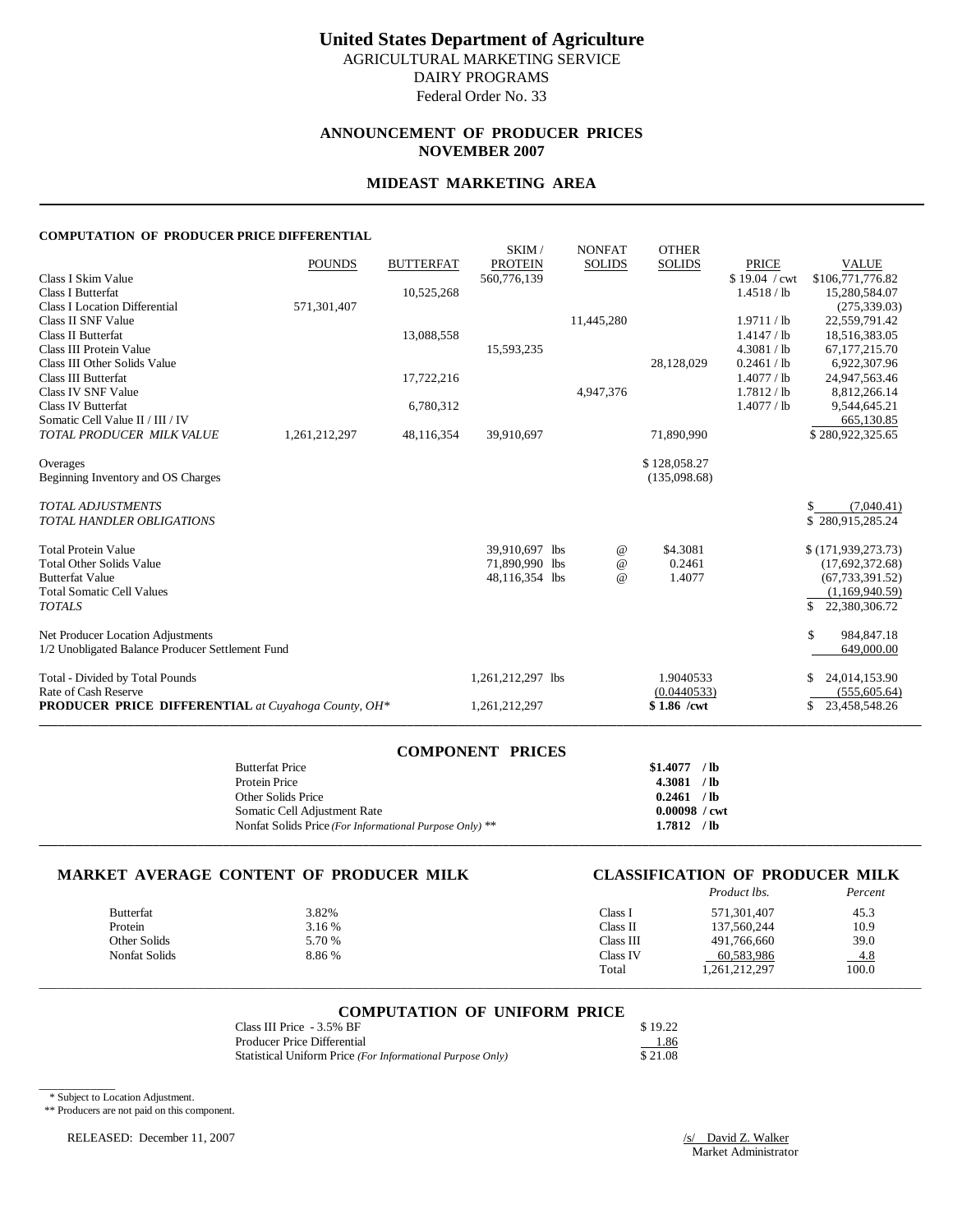# **ANNOUNCEMENT OF PRODUCER PRICES NOVEMBER 2007**

#### **MIDEAST MARKETING AREA**

#### **COMPUTATION OF PRODUCER PRICE DIFFERENTIAL**

|                                                            | <b>POUNDS</b> | <b>BUTTERFAT</b> | SKIM/<br><b>PROTEIN</b> | <b>NONFAT</b><br><b>SOLIDS</b> | <b>OTHER</b><br><b>SOLIDS</b> | <b>PRICE</b>  | <b>VALUE</b>        |
|------------------------------------------------------------|---------------|------------------|-------------------------|--------------------------------|-------------------------------|---------------|---------------------|
| Class I Skim Value                                         |               |                  | 560,776,139             |                                |                               | \$19.04 / cwt | \$106,771,776.82    |
| <b>Class I Butterfat</b>                                   |               | 10,525,268       |                         |                                |                               | 1.4518 / lb   | 15,280,584.07       |
| <b>Class I Location Differential</b>                       | 571,301,407   |                  |                         |                                |                               |               | (275, 339.03)       |
| Class II SNF Value                                         |               |                  |                         | 11,445,280                     |                               | 1.9711 / lb   | 22,559,791.42       |
| Class II Butterfat                                         |               | 13,088,558       |                         |                                |                               | 1.4147 / lb   | 18,516,383.05       |
| Class III Protein Value                                    |               |                  | 15,593,235              |                                |                               | 4.3081 / lb   | 67,177,215.70       |
| Class III Other Solids Value                               |               |                  |                         |                                | 28,128,029                    | 0.2461 / lb   | 6,922,307.96        |
| <b>Class III Butterfat</b>                                 |               | 17,722,216       |                         |                                |                               | 1.4077 / lb   | 24,947,563.46       |
| Class IV SNF Value                                         |               |                  |                         | 4,947,376                      |                               | 1.7812 / lb   | 8,812,266.14        |
| <b>Class IV Butterfat</b>                                  |               | 6,780,312        |                         |                                |                               | 1.4077 / lb   | 9,544,645.21        |
| Somatic Cell Value II / III / IV                           |               |                  |                         |                                |                               |               | 665,130.85          |
| TOTAL PRODUCER MILK VALUE                                  | 1,261,212,297 | 48,116,354       | 39,910,697              |                                | 71,890,990                    |               | \$280,922,325.65    |
| Overages                                                   |               |                  |                         |                                | \$128,058.27                  |               |                     |
| Beginning Inventory and OS Charges                         |               |                  |                         |                                | (135,098.68)                  |               |                     |
|                                                            |               |                  |                         |                                |                               |               |                     |
| <b>TOTAL ADJUSTMENTS</b>                                   |               |                  |                         |                                |                               |               | (7,040.41)          |
| <b>TOTAL HANDLER OBLIGATIONS</b>                           |               |                  |                         |                                |                               |               | \$280,915,285.24    |
|                                                            |               |                  |                         |                                |                               |               |                     |
| <b>Total Protein Value</b>                                 |               |                  | 39.910.697 lbs          | $^{\,a}$                       | \$4.3081                      |               | \$(171,939,273,73)  |
| <b>Total Other Solids Value</b>                            |               |                  | 71,890,990 lbs          | $^{\copyright}$                | 0.2461                        |               | (17,692,372.68)     |
| <b>Butterfat Value</b>                                     |               |                  | 48,116,354 lbs          | $^{\omega}{}$                  | 1.4077                        |               | (67, 733, 391.52)   |
| <b>Total Somatic Cell Values</b>                           |               |                  |                         |                                |                               |               | (1,169,940.59)      |
| <b>TOTALS</b>                                              |               |                  |                         |                                |                               |               | S<br>22,380,306.72  |
| Net Producer Location Adjustments                          |               |                  |                         |                                |                               |               | \$<br>984,847.18    |
| 1/2 Unobligated Balance Producer Settlement Fund           |               |                  |                         |                                |                               |               | 649,000.00          |
|                                                            |               |                  |                         |                                |                               |               |                     |
| Total - Divided by Total Pounds                            |               |                  | 1,261,212,297 lbs       |                                | 1.9040533                     |               | 24,014,153.90<br>S  |
| Rate of Cash Reserve                                       |               |                  |                         |                                | (0.0440533)                   |               | (555, 605.64)       |
| <b>PRODUCER PRICE DIFFERENTIAL</b> at Cuyahoga County, OH* |               |                  | 1,261,212,297           |                                | \$1.86 /cwt                   |               | 23,458,548.26<br>\$ |
|                                                            |               |                  |                         |                                |                               |               |                     |

| <b>COMPONENT PRICES</b>                                 |                        |
|---------------------------------------------------------|------------------------|
| <b>Butterfat Price</b>                                  | $$1.4077$ /lb          |
| Protein Price                                           | 4.3081 / lb            |
| Other Solids Price                                      | 0.2461 / lb            |
| Somatic Cell Adjustment Rate                            | $0.00098 / \text{cwt}$ |
| Nonfat Solids Price (For Informational Purpose Only) ** | $1.7812$ /lb           |
|                                                         |                        |

### **MARKET AVERAGE CONTENT OF PRODUCER MILK CLASSIFICATION OF PRODUCER MILK**

# *Product lbs. Percent*

|                  |        |           | .             |        |
|------------------|--------|-----------|---------------|--------|
| <b>Butterfat</b> | 3.82%  | Class 1   | 571.301.407   | 45.3   |
| Protein          | 3.16 % | Class II  | 137,560,244   | 10.9   |
| Other Solids     | 5.70 % | Class III | 491.766.660   | 39.0   |
| Nonfat Solids    | 8.86%  | Class IV  | 60.583.986    | $-4.8$ |
|                  |        | Total     | 1,261,212,297 | 100.0  |
|                  |        |           |               |        |

# \_\_\_\_\_\_\_\_\_\_\_\_\_\_\_\_\_\_\_\_\_\_\_\_\_\_\_\_\_\_\_\_\_\_\_\_\_\_\_\_\_\_\_\_\_\_\_\_\_\_\_\_\_\_\_\_\_\_\_\_\_\_\_\_\_\_\_\_\_\_\_\_\_\_\_\_\_\_\_\_\_\_\_\_\_\_\_\_\_\_\_\_\_\_\_\_\_\_\_\_\_\_\_\_\_\_\_\_\_\_\_\_\_\_\_\_\_\_\_\_\_\_\_\_\_\_\_\_\_\_\_\_\_\_\_\_\_\_\_ **COMPUTATION OF UNIFORM PRICE**

| Class III Price - 3.5% BF                                  | \$19.22 |
|------------------------------------------------------------|---------|
| Producer Price Differential                                | 1.86    |
| Statistical Uniform Price (For Informational Purpose Only) | \$21.08 |

\* Subject to Location Adjustment.

\_\_\_\_\_\_\_\_\_\_\_\_

\*\* Producers are not paid on this component.

RELEASED: December 11, 2007